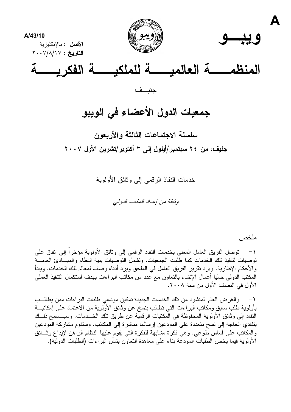

# جمعيات الدول الأعضاء في الويبو

سلسلة الاجتماعات الثالثة والأربعون جنيف، من ٢٤ سبتمبر/أيلول إلى ٣ أكتوبر/تشرين الأول ٢٠٠٧

خدمات النفاذ الر قمي إلى وثائق الأولوية

وثيقة من إعداد المكتب الدولي

ملخص

١– نوصل الفريق العامل المعنى بخدمات النفاذ الرقمي إلى وثائق الأولوية مؤخراً إلى انفاق على توصيات لتتفيذ تلك الخدمات كما طلبت الجمعيات. وتشملُ التوصيات بنية النظام والمبسادئ العامسة والأحكام الإطارية. ويرد نقرير الفريق العامل في الملحق ويرد أدناه وصف لمعالم نلك الخدمات. ويبدأ المكتب الدولمي حاليا أعمال الإنشاء بالنعاون مع عدد من مكانب البراءات بهدف استكمال التنفيذ العملمي الأول في النصَّف الأول من سنة ٢٠٠٨.

والغرض العام المنشود من تلك الخدمات الجديدة تمكين مودعى طلبات البراءات ممن يطالــب  $-\tau$ بأولوية طلب سابق ومكانب البراءات التبي نطالب بنسخ عن وثائق الأولوية من الاعتماد على إمكانيــــة النفاذ إلى وثائق الأولوية المحفوظة في الْمكتبات الرقمية عن طريق تلك الخـــدمات. وسيــسمح ذلـــك بتفادى الحاجة إلى نسخ متعددة على المودعين إرسالها مباشرة إلى المكانب. وستقوم مشاركة المودعين والمكانب على أساس طوعي. وهي فكرة مشابهة للفكرة التي يقوم عليها النظام الراهن لإيداع وثــائق الأولوية فيما يخص الطلبات المودعة بناء على معاهدة النعاون بشأن البر اءات (الطلبات الدولية).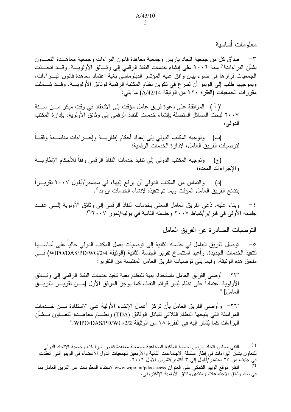معلومات أساسية

٣– صدَّق كل من جمعية انحاد باريس وجمعية معاهدة قانون البراءات وجمعية معاهـــدة النعــــاون بشأن البراءات'') سنة ٢٠٠٦ على إنشاء خدمات النفاذ الرقمي إلى وثـــائق الأولويــــة. وقـــد اتخـــذت الجمعيات قرارها في ضوء بيان وافق عليه المؤتمر الدبلوماسي بغية اعتماد معاهدة قانون البـــراءات، وبموجبها طلب إلى الويبو أن تسر ع في تكوين نظام المكتبة الرقمية لوثائق الأولويــــة. وقـــد شــــملت مقررات الجمعيات (الفقرة ٢٢٠ من الوثيقة A/42/14) ما يلي:

"( أ ) الموافقة على دعوة فريق عامل مؤقت إلى الانعقاد في وقت مبكر مـــن ســــنة ٢٠٠٧ لبحث المسائل المتصلة بإنشاء خدمات للنفاذ الرقمى إلى وثائق الأولوية، بإدارة المكتب الدولي؛

(ب) ونوجيه المكتب الدولي إلى إعداد أحكام إطاريــــة وإجـــراءات مناســـبة وفقـــا لنوصيات الفريق العامل، لإدارة الخدمات الرقمية؛

(ج) وتوجيه المكتب الدولي إلى نتفيذ خدمات النفاذ الرقمي وفقاً للأحكام الإطاريـــة و الإجر اءات المعدة؛

(د) والنماس من المكتب الدولي أن يرفع إليها، في سبنمبر/أيلول ٢٠٠٧ تقريـــرا بنتائج الفريق العامل المؤقت وبما تم تتفيذه لإنشاء الخدمات إن بدأ".

t – وبناء عليه، دُعـي الفريق العامل المعنـي بـخدمات النفاذ الرقمـي إلـي وثائق الأولوية إلــــي عقـــد جلسته الأولىي في فبر اير/شباط ٢٠٠٧ وجلسته الثانية في يوليه/تموز ٢٠٠٧''.

التوصيات الصادر ة عن الفريق العامل

0 – نوصل الفريق العامل في جلسته الثانية إلى نوصيات يعمل المكتب الدولي حاليا على أساســـها لتنفيذ الخدمات الجديدة. وأعيد استنساخ تقرير الجلسة الثانية (الوثيقة WIPO/DAS/PD/WG/2/4) فـــي ملحق هذه الوثيقة. وفيما يلـى نوصيات الفريق العامل المقتبسة من التقرير :

"٢٣ أوصبي الفريق العامل باستخدام بنية للنظام بغية نتفيذ خدمات النفاذ الرقمي إلى وثـــائق الأولوية اعتمادا على نظام يُدير قوائم النفاذ، كما يوجز المرفق الأول [مـــن نقريـــر الفريـــق العامل]."

"٢٦" وأوصـي الفريق العامل بأن نركز أعمال الإنشاء الأولية علـي الاستفادة مـــن خـــدمات المراسلة التي يتيحها النظام الثلاثي لتبادل الوثائق (TDA) ونظـــام معاهـــدة التعـــاون بـــشأن البراءات كما يُشار إليه في الفقرة ١٨ من الوثيقة WIPO/DAS/PD/WG/2/2."

-

 $(1)$ <sup>(י)</sup> النقي مجلس اتحاد باريس لحماية الملكية الصناعية وجمعية معاهدة قانون البر اءات وجمعية الاتحاد الدولمي للنعاون بشأن البراءات في إطار سلسلة الاجتماعات الثانية والأربعين لجمعيات الدول الأعضاء في الويبو التي انعقدت في جنيف من ٢٥ سبتمبر َ/أيلول إلى ٣ أكتوبر /تشرين الأول ٢٠٠٦.

<sup>&</sup>lt;sup>(1)</sup> انظر موقع الويبو الشبكي على العنوان www.wipo.int/pdocaccess لاستقاء المعلومات عن الفريق العامل بما في ذلك وثائق الاجتَّماعات ومنتدىٌّ وثائق الأولوية الإلكترونـي.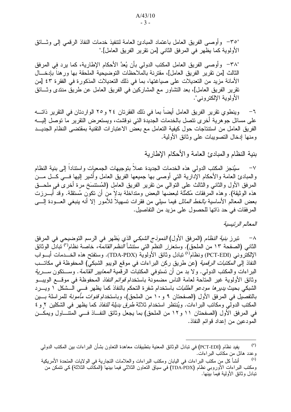"٣٥" ۖ وأوصـي الفريق العامل باعتماد المبادئ العامة لتنفيذ خدمات النفاذ الرقمـي إلـي وثـــائق الأولوية كما يظهر في المرفق الثاني [من تقرير الفريق العامل]."

٣٨" - وأوصـي الفريق العامل المكتب الدولـي بأن يُعدَّ الأحكام الإطارية، كما يرد فِي المرفق الثالث [من تقرير الفريق العامل]، مقترنة بالملاحظات التوضيحية الملحقة بها ورهنا بإدخـــال الأمانة مزيد من التعديلات على صياغتها، بما في ذلك التعديلات المذكورة في الفقرة ٤٣ [من نقرير الفريق العامل]، بعد النشاور مع المشاركين في الفريق العامل عن طريق منتدى وثـــائق الاولوية الإلكتروني".

٦− وينطوي نقرير الفريق العامل أيضا بما في ذلك الفقرنان ٢٤ و ٢٥ الواردتان في التقرير ذاتـــه علـى مسائل جوهرية أخرى نتصل بالخدمات الجديدة التـي نوقشت، ويستعرض النقرير ما نوصل إليــــه الفريق العامل من استتناجات حول كيفية التعامل مع بعض الاعتبار ات التقنية بمقتضىي النظام الجديـــد ومنها إدخال النصويبات على وثائق الأولية.

بنية النظام والمبادئ العامة والأحكام الإطارية

×− سيُنجز المكتب الدولي هذه الخدمات الجديدة عملا بتوجيهات الجمعيات واستنادا إلى بنية النظام والمبادئ العامة والأحكام الإدارية النبي أوصبي بها جميعها الفريق العامل وأشير إليها فـــي كـــل مـــن المرفق الأول والثانـي والثالث علـي النوالـي من نقرير الفريق العاملِ (المُستسَخ مرة أخرى فـي ملحـــق هذه الوثيقة). وهذه المرفقات مُكمِّلة لبعضـها البعض ومنداخلة بدلًا من أن نكون مُستقلة. وقد أبــــرزت بعض المعالم الأساسية *بالخط المائل* فيما سيلي من فقرات تسهيلا للأمور إلا أنه بنبغي العـــودة إلــــى المرفقات في حد ذاتها للحصول على مزيد من التفاصيل.

المعالم الرئيسية

^− تبر ز *بنية النظام* (المرفق الأول*) النموذج الشبكي* الذي يَظهر في الرسم التوضيحي في المرفق الثاني (الصفحة ١٣ من الملحق). و*ستعزز* النظم التي ستتشأ *النظم القائمة،* خاصـة نظام<sup>(٣)</sup> تبادل الوثائق الإلكتروني (PCT-EDI) ونظام<sup>(؛)</sup> تبادل وثائق الأولوية (TDA-PDX). وستفتح هذه الخـــدمات أبـــواب النفاذ إل*ى المكتبات الرقمية* (عن طريق ركن البر اءات في موقع الويبو الشبكي) المحفوظة في مكاتـــب البر اءات والمكتب الدولي. ولا بد من أن تستوفي المكتبات الرقمية *المعايير القائمة*. وســـتكون *ســـرية* وثائق الأولوية غير المتاحة لعامة الناس مضمونة باستخدام *قوائم النفاذ* المحفوظة في موقـــع الويبـــو الشبكي بحيث *يدير ها مودعو الطلبات* باستخدام شفرة التحكم بالنفاذ كما يظهر فـــي الـــشكل ١ ويــــرد بالنفصيل في المرفق الأول (الصفحتان ٩ و ١٠ من الملحق)، وباستخدام *قنوات مأمونة* للمر اسلة بـــين المكتب الدولي ومكاتب البراءات. ويُنتظر استخدام ثلاثة *طرق بديلة للنفاذ* كما يظهر في الشكلين ٢ و ٤ في المرفق الأول (الصفحتان ١١ و١٢ من الملحق) بما يجعل وثائق النفــاذ فـــي المتنـــاول ويمكـــن المودعين من إعداد قوائم النفاذ.

-

<sup>(٤)</sup> أنشأ كل من مكتب البر اءات فـي اليابان ومكتب البر اءات والعلامات النجارية فـي الولايات المتحدة الأمريكية ومكتب البراءات الأوروبي نظام (TDA-PDX) في سياق التعاون الثلاثي فيما بينها (المكاتب الثلاثة) كي نتمكن من نبادل وثائق الأولية فيما ببنها.

<sup>&</sup>lt;sup>(٢)</sup> يفيد نظام (PCT-EDI) في تبادل الوثائق المعنية بتطبيقات معاهدة التعاون بشأن البر اءات بين المكتب الدولمي وعدد هائل من مكانب البراءات.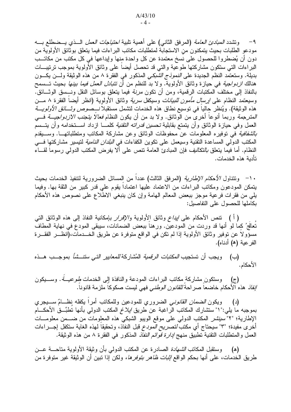٩- وتشدد *المبادئ العامة* (المرفق الثانبي) على أهمية تلبية *احتياجات العمل* الــذي يــضطلع بـــه مودعو الطلبات بحيث يتمكنون من الاستجابة لمتطلبات مكاتب البر اءات فيما يتعلق بوثائق الأولوية من دون أن يُضطروا للحصول على نُسخ معتمدة عن كل واحدة منها وإيداعها في كل مكتب من مكاتــب البراءات التبي ستكون مشاركتها طوعية والتبي قد تحصل أيضا على وثائق الأولوية بموجب نرتيبـــات بدُيلَة. وستعتمد النظم الجديدة عل*ى النموذج الشُّبكي* المذكور في الفقرة ٨ من هذه الوثيقة ولــــن يكــــون هنالك *ازدواجية* في حيازة وثائق الأولوية. ولا بدُّ للنظم من أ*ن تتبادل العمل فيما بينها* بحيث تـــسمح بالنفاذ إلى مختلف المكتبات الرقمية، ومن أن نكون *مرنة* فيما يتعلق بوسائل النقل ونـــسق الوثـــائق. وسيعتمد النظام عل*ى إرسال مأمون للبيانات* وسيكفل *سرية* وثائق الأولوية (انظر أيضاً الفقرة ٨ مـــن هذه الوثيقة). ويُنظر حاليا في نوسيع نطاق هذه الخدمات لتشمل مستقبلا *نــــصوص وثــــائق الأولويــــة المترجمة* وربما أنوعا أخرى من الوثائق. ولا بد من أن يكون النظام *فعالا يتجنب الازدواجيـــة* فــــي العمل وفي حيازة الوثائق وأن يتمتع بقابلية *تحسين قدراته التقنية* كلمـــا ازداد اســـتخدامه وأن يتـــسم *بالشفافية* في توفيره المعلومات عن محفوظات الوثائق وعن مشاركة المكاتب ومتطلباتهـــا. وســـبقدم المكتب الدولمي المساعدة النقنية وسيعمل على نكوين الكفاءات ف*ي البلدان النامية* لتيسير مشاركتها فـــي النظام. أما فيما يتعلق *بالتكاليف* فإن المبادئ العامة نتص على ألا يفرض المكتب الدولمي رسوما لقـــاء تأدبة هذه الخدمات.

١٠ – وتتناول /لأح*كام الإطارية* (المرفق الثالث) عددا من المسائل الضرورية لتنفيذ الخدمات بحيث يتمكن المودعون ومكانب البراءات من الاعتماد عليها اعتمادا يقوم على قدر كبير من الثقة بها. وفيما يلي من فقرات فرعية موجز ببعض المعالم الهامة وإن كان ينبغي الاطلاع على نصوص هذه الأحكام بكاملها للحصول على التفاصيل:

( أ ) نتص الأحكام على *إيداع* وثائق الأولوية و*الإقرار* بإمكانية النفاذ إلى هذه الوثائق التي تعالجُ كما لو أنها قد وردت من المودعين. ورهنا ببعض الضمانات، سيبقى المودع في نهاية المطاف مسؤولًا عن نوفير وثائق الأولوية إذا لم تكن في الواقع متوفرة عن طريق الخـــدمات،(انظـــر الفقـــرة الفر عية (ه) أدناه).

(ب) ويجب أن تستجيب *المكتبات الرقمية* المُشاركة *للمعايير التي ستتـــشأ* بموجـــب هـــذه الأحكام.

وستكون مشاركة مكانب البراءات المودعة والنافذة إلى الخدمات *طوعيـــة.* وســـيكون  $(\tau)$ *إنفاذ* هذه الأحكام خاضعاً صر احة *للقانون الوطني* فهي ليست صكوكاً ملزمة قانوناً.

ويكون *الضمان القانوني* الضروري للمودعين وللمكانب أمراً يكفله نظــامٌ ســـيجري  $\left( \begin{array}{c} 2 \end{array} \right)$ بموجبه ما يلي:"١" ستشارك المكانب الراغبة عن طريق *إبلاغ* المكتب الدولي بأنها تُطبِّــق الأحكــــام الإطارية؛ "٢" سينشر المكتب الدولمي على موقع الويبو الشبكي هذه المعلومات من ضـــمن معلومـــات أخرى مفيدة؛ "٣" سيحتاج أي مكتب *لتصريح المودع* قبل النفاذ، وتحقيقاً لمهذه الغاية ستكفل إجــــراءات العمل والمنطلبات النقنية نطبيق منهج *إدارة قوائم النفاذ* المذكور في الفقرة ٨ من هذه الوثيقة.

(ه) وستقبل المكانب *الشهادة* الصادرة عن المكتب الدولمي بأن وثيقة الأولوية متاحـــة عـــن طريق الخدمات، على أنها بحكم الواقع *إثبات ظاهر بتوفرها،* ولكن إذا تبين أن الوثيقة غير متوفرة من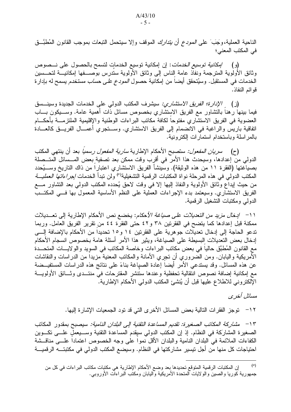الناحية العملية،وَجَبَ على *المودع* أن *يتدارك* الموقف وإلا سيتحمل التبعات بموجب القانون المُطبَّــق في المكتب المعنى؛

(و) *إمكانية توسيع الخدمات*: إن إمكانية توسيع الخدمات لتسمح بالحصول على نـــصوص وثائق الأولوية المترجمة ونفاذ عامة الناس إلىي وثائق الأولوية ستدرس بوصـــفها إمكانيـــة لتحـــسين الخدمات في المستقبل. وسيُتحقق أيضا من إمكانية حصول *المودع على حساب مستخدم* يسمح له بإدارة قو ائم النفاذ.

فيما بينها رهنا بالتشاور مع الفريق الاستشاري بخصوص مسائل ذات أهمية عامة. وســـيكون بــــاب العضوية في الفريق الاستشاري مفتوحا لكافة مكانب البراءات الوطنية والإقليمية الملتزمـــة بأحكـــام اتفاقية باريس والراغبة في الانضمام إلى الفريق الاستشاري. وســـنجري أعمـــال الفريـــق كالعـــادة بالمر اسلة وباستخدام استمار ات الكتر ونبة.

(ح) *سريان المفعول:* ستصبح الأحكام الإطارية *سارية المفعول رسمياً* بعد أن ينتهي المكتب الدولي منَّ إعدادها، وسيحدث هذا الأمرَّ في أقرب وقت ممكن بعد نصفية بعض المـــسائل الَّمتــصلة بصياعتها (الفقرة ١١ من هذه الوثيقة). وسينشأ الفريق الاستشاري اعتباراً من ذاك التاريخ وســـيُحدد المكتب الدولي في هذه المرحلة نواة المكتبات الرقمية التشغيلية<sup>(٥)</sup> ولن تبدأ الخدمات *إجر اءاتها العمليـــة* من حيث إيداع وثائق الأولوية والنفاذ إليها إلا في وقت لاحق يُحدده المكتب الدولي بعد التشاور مــــع الفريق الاستشاري. وسيعتمد بدء الإجراءات العملية على النظم الأساسية المعمول بها فسي المكتــب الدولم ومكتبات التشغيل الرقمية.

١١− *إدخال مزيد من التعديلات على صياغة الأ*حكام: يخضم نص الأحكام الإطارية إلى تعـــديلات ممكنة قبل إعدادها كما يتضح في الفقرتين ٣٨ و٤٢ حتى الفقرة ٤٤ من تقرير الفريق العامل. وربما تدعو الحاجة إلى إدخال تعديلات جوهرية على الفقرتين ١٤ و١٥ تحديدا من الأحكام بالإضافة إلـــي إدخال بعض التعديلات البسيطة على الصياغة، ويثير هذا الأمر أسئلة هامة بخصوص انسجام الأحكام مع القانون المُطبَّق حالياً في بعض مكانب البراءات وخاصة المكانب في السويد والولايـــات المتحـــدة الأمريكية واليابان. ومن الضروري أن نجري الأمانة والمكانب المعنية مزيداً من الدراسات والنقاشات عن هذه المسائل. وقد يستدعى الأمر أيضا إعادة الصياغة بناءً على نتائج هذه الدر اسات المستفيــضة مع إمكانية إضافة نصوص انتقالية تحفظية وعندها ستتشر المقترحات في منتــدى وثـــائق الأولويـــة الإلكتروني للاطلاع عليها قبل أن يُنشئ المكتب الدولي الأحكام الإطارية.

# مسائل أخر ي

١٢– توجز الفقر ات التالية بعض المسائل الأخر ى التي قد تود الجمعيات الإشار ة إليها.

١٣ - مشاركة المكاتب الصغير ة: تقديم المساعدة التقنية إلى البلدان النامية: سيصبح بمقدور المكاتب الصغيرة المشاركة في النظام. إذ إن المكتب الدولي سيقدم المساعدة التقنية وســـيعمل علـــي تكـــوين الكفاءات الملائمة في البلدان النامية والبلدان الأقل نمواً على وجه الخصوص اعتماداً علـــي مناقـــشة احتياجات كل منها من أجل نيسير مشاركتها في النظام. وسيضع المكتب الدولي في مكتبتـــه الرقميـــة

 $(°)$ إن المكتبات الرقمية المتوقع تحديدها بعد وضع الأحكام الإطارية هي مكتبات مكاتب البر اءات في كل من جمهورية كوريا والصين والولايات المتحدة الأمريكية واليابان ومكتب البراءات الأوروبي.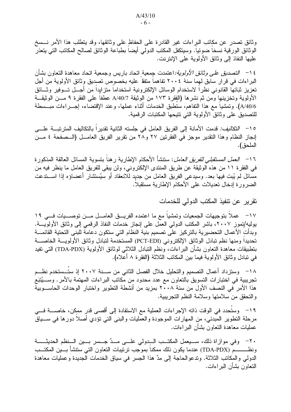وثائق نصدر عن مكانب البراءات غير القادرة على الحفاظ على وثائقها، وقد يتطلب هذا الأمر نـــسخ الوثائق الورقية نسخا ضوئيا. وسيتكفل المكتب الدولي أيضا بطباعة الوثائق لصالح المكاتب التي يتعذر عليها النفاذ إلى وثائق الأولوية على الإنترنت.

٤ ١− *التصديق علـى وثائق الأولوية:*اعتمدت جِمعية ِانحاد باريس وجمعية انحاد معاهدة النعاون بشأن البراءات في قرار سابق لمهما سنة ٢٠٠٤ تفاهما متفظ عليه بخصوص تصديق وثائق الأولوية من أجل تعزيز ثباتها القانونـي نظرا لاستخدام الوسائل الإلكترونية استخداما متزايدا من أجـــل تـــوفير وثـــائق الأولوية وتخزينها ومن ثم نشرها (الفقرة ١٧٣ من الوثيقة A/40/7 عطفا على الفقرة ٩ مــن الوثيقــة A/40/6). وتمشيا مع هذا التفاهم، ستطبق الخدمات أثناء عملها، وعند الإقتضاء، إجـــراءات مبـــسطة للتصديق على وثائق الأولوية التي نتيحها المكتبات الرقمية.

 % "" " # -" D"6 
. 3 إنجاز النظام وهذا النقدير موجز في الفقرنين ٢٧ و٢٨ من نقرير الفريق العامـــل (الـــصفحة ٤ مـــن الملحق).

١٦ – ا*لعمل المستقبلي للفريق العامل*: ستتشأ الأحكام الإطارية رهنا بتسوية المسائل العالقة المذكورة في الفقر ة ١١ من هذه الوثيقة عن طريق المنتدى الإلكتروني، ولن يبقى للفريق العامل ما ينظر فيه من مسائل لم يُبت فيها بعد. وسيدعى الفريق العامل من جديد للانعقاد أو سيُستشار أعضاؤه إذا اســــتدعت الضرورة إدخال تعديلات على الأحكام الإطارية مستقبلا.

تقرير عن تتفيذ المكتب الدولي للخدمات

١٧ – عملا بتوجيهات الجمعيات وتمشيا مع ما اعتمده الفريـــق العامـــل مـــن توصــــيات فـــي ١٩ يوليه/نموز ٢٠٠٧، باشر المكتب الدولي العمل على إنجاز خدمات النفاذ الرقمي إلى وثائق الأولويـــة. وبدأت الأعمال التحضيرية بالتركيز على تصميم بنية النظام التي ستكون دعامة للبنى التحتية القائمـــة تحديدا ومنها نظم تبادل الوثائق الإلكتروني (PCT-EDI) المستخدمة لتبادل وثائق الأولويــــة الخاصـــــة بتطبيقات معاهدة التعاون بشأن البر اءات، ونظم التبادل الثلاثي لوثائق الأولوية (TDA-PDX) التي نفيد فـي ننبادل وثائق الأولوية فيما بين المكانب الثلاثة (الفقرة ٨ أعلاه).

١٨– وستزداد أعمال التصميم والتحليل خلال الفصل الثاني من ســـنة ٢٠٠٧ إذ ستــستخدم نظـــم تجريبية في اختبار ات التسويق بالتعاون مع عدد محدود من مكانب البر اءات المهتمة بالأمر . وســـيُتبَع هذا الأمر في النصف الأول من سنة ٢٠٠٨ بمزيد من أنشطة النطوير واختبار الوحدات الحاســـوبية والتحقق من سلامتها وسلامة النظم التجريبية.

19 – وستحدد في الوقت ذاته الإجراءات العملية مع الاستفادة إلى أقصى قدر ممكن، خاصــــة فـــى مرحلة النطوير المبدئي، من المهارات الموجودة والعمليات والبنى الني نؤدي أصلا دورها في ســــياق عمليات معاهدة النعاون بشأن البراءات.

+7- وفي موازاة ذلك، ســـيعمل المكتـــب الــبدولي علـــي مـــدّ جـــسر بـــين الـــنظم الحديثــــــة ونظـــــــــم (TDA-PDX) عندما يكون ذلك ممكنا بموجب نرنيبات النعاون التـي ستتشأ بــــين المكتـــب الدولي والمكانب الثلاثة. وتدعوالحاجة إلى مدٍّ هذا الجسر في سياق الخدمات الجديدة وعمليات معاهدة النعاون بشأن البراءات.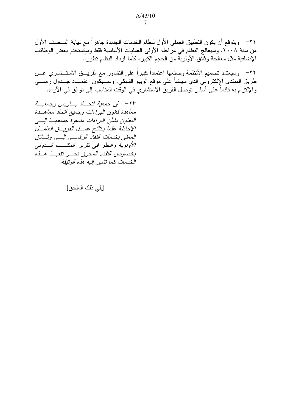٢١– ويتوقع أن يكون النطبيق العملي الأول لنظام الخدمات الجديدة جاهزاً مع نهاية النــصف الأول من سنة ٢٠٠٨. وسيعالج النظام في مراحله الأولى العمليات الأساسية فقط وستُستخدم بعض الوظائف الإضافية مثل معالجة وثآئق الأولوية من الحجم الكبير، كلما ازداد النظام نطوراً.

٢٢– وسيعتمد نصميم الأنظمة وصنعها اعتماداً كبيراً على النشاور مع الفريـــق الاستـــشاري عـــن طريق المنتدى الإلكترونـي الذي سينشأ علـى موقع الويبو الشبكـي. وســـيكون اعتمـــاد جـــدول رمنــــي والإلتزام به قائماً على أساس توصل الفريق الاستشاري في الوقت المناسب إلى توافق في الآراء.

٢٣ - إن جمعية اتحساد بساريس وجمعية معاهدة قانون البراءات وجميع اتحاد معاهــدة التعاون بشأن البراءات مدعوة جميعها السبي الإحاطة علما بنتائج عمل الفريسق العامل المعني بخدمات النفاذ الرقمسي اإسى وثسائق الأولوية والنظر في تقرير المكتب السدولي بخصوص التقدم المحرز نحو تنفيــذ هــذه الخدمات كما تشير اليه هذه الوثيقة.

[يلي ذلك الملحق]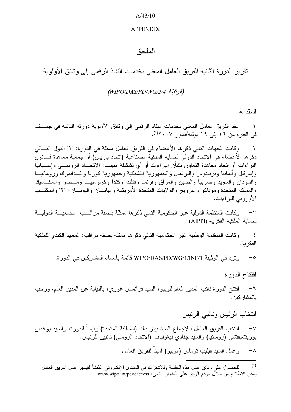#### A/43/10

#### APPENDIX

# الملحق

نقرير الدورة الثانية للفريق العامل المعنى بخدمات النفاذ الرقمى إلى وثائق الأولوية

# *WIPO/DAS/PD/WG/2/4*

المقدمة

١− عقد الفريق العامل المعنى بخدمات النفاذ الرقمى إلى وثائق الأولوية دورته الثانية في جنيــف في الفترة من ١٦ إلى ١٩ يوليه/تموز ٢٠٠٧''.

٢ – وكانت الجهات النالي ذكر ها الأعضاء في الفريق العامل ممثلة في الدورة: "١" الدول النــــالي ذكر ها الأعضاء في الاتحاد الدولي لحماية الملكية الصناعية (اتحاد باريس) أو جمعية معاهدة قـــانون البراءات أو اتحاد معاهدة النعاون بشأن البراءات أو أي نشكيلة منهـــا: الانحــــاد الروســــي وإســــبانيا وإسرئيل وألمانيا وبربادوس والبرنغال والجمهورية التشيكية وجمهورية كوريا والسدانمرك ورومانيـــا والسودان والسويد وصربيا والصين والعراق وفرنسا وفنلندا وكندا وكولومبيـــا ومـــصر والمكـــسيك والمملكة المتحدة وموناكو والنرويج والولايات المتحدة الأمريكية واليابـــان واليونــــان؛ "٢" والمكتـــب الأوروبي للبراءات.

٣– وكانت المنظمة الدولية غير الحكومية التالي ذكر ها ممثلة بصفة مر اقـــب: الجمعيــــة الدوليـــة لحماية الملكية الفكرية (AIPPI).

٤ − وكانت المنظمة الوطنية غير الحكومية التالى ذكر ها ممثلة بصفة مر اقب: المعهد الكندي للملكية الفكر ية.

0– وترد في الوثيقة WIPO/DAS/PD/WG/1/INF/1 قائمة بأسماء المشاركين في الدورة.

افتتاح الدورة

٦– افتتح الدورة نائب المدير العام للويبو ، السيد فر انسس غوري، بالنيابة عن المدير العام، ورحب بالمشاركين.

انتخاب الرئيس ونائبي الرئيس

V− انتخب الفريق العامل بالإجماع السيد بيتر باك (المملكة المتحدة) رئيسا للدورة، والسيد بوغدان بوريتشيفتشي (رومانيا) والسيد جنادي نيغولياف (الاتحاد الروسـي) نائبين للرئيس.

> ^− وعمل السيد فيليب نوماس (الويبو) أمينا للفريق العامل.  $\overline{a}$

 $(1)$ <sup>(י)</sup> للحصول على وثائق عمل هذه الجلسة وللاشتراك في المنتدى الإلكترونـي المُنشأ لنتيسير عمل الفريق العامل يمكن الاطلاع من خلال موقع الويبو على العنوان الثالي: www.wipo.int/pdocaccess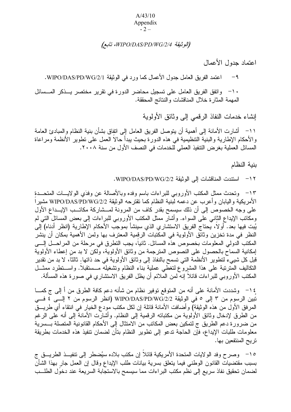#### A/43/10 Appendix  $-2-$

## < *WIPO/DAS/PD/WG/2/4*

اعتماد جدول الأعمال

٩− اعتمد الفريق العامل جدول الأعمال كما ورد في الوثيقة WIPO/DAS/PD/WG/2/1.

• ١- واتفق الفريق العامل على تسجيل محاضر الدورة في تقرير مختصر يـــذكر المـــسائل المهمة المثارة خلال المناقشات والنتائج المحققة.

إنشاء خدمات النفاذ الرقمي إلى وثائق الأولوية

١١– أشارت الأمانة إلى أهمية أن يتوصل الفريق العامل إلى انفاق بشأن بنية النظام والمبادئ العامة والأحكام الإطارية والبنية النتظيمية في هذه الدورة بحيث يبدأ حالا العمل علىي نطوير الأنظمة ومراعاة المسائل العملية بغرض النتفيذ العملي للخدمات في النصف الأول من سنة ٢٠٠٨.

بنية النظام

WIPO/DAS/PD/WG/2/2 - ( "6 

١٣– ونحدث ممثل المكتب الأوروبي للبراءات باسم وفده وبالأصالة عن وفدَي الولايـــات المتحـــدةِ الأمريكية واليابان وأعرب عن دعمه لبنية النظام كما نقترحه الوثيقة WIPO/DAS/PD/WG/2/2 مشيرا على وجه الخصوص إلى أن ذلك سيسمح بقدر كاف من المرونة لمـــشاركة مكاتـــب الإيـــداع الأول ومكانب الإيداع الثَّانـي علـَّى السواء. وأشار ممثَّل المكتب الأوروبـي للبراءات إلـي بعض المسائل التـي لم يُبت فيها بعد. أو لا، يحتاج الفريق الاستشاري الذي سينشأ بموجب الأحكام الإطارية (انظر أدناه) إلى النظر في مدة تخزين وثائق الأولوية في المكتبات الرقمية المعترف بها ولمن الأهمية بمكان أن ينشر المكتب الدولي المعلومات بخصوص هذه المسائل. ثانيا، يجب النطرق في مرحلة من المراحـــل إلــــى إمكانية السماح بالحصول على النصوص المترجمة من وثائق الأولوية، ولكن لا بد من إعطاء الأولوية قبل كل شيبيء لتطوير الأنظمة التي تسمح بالنفاذ إلى وثائق الأولوية في حد ذاتها. ثالثًا، لا بد من تقدير النكاليف المترتبة على هذا المشروع لتغطي عملية بناء النظام ونشغيله مـــستقبلا. واســـنطرد ممثـــل المكتب الأوروبي للبراءات قائلا إنه لمن الملائم أن يظل الفريق الاستشاري في صورة هذه المسألة.

1⁄2 ^ وشددت الأمانة على أنه من المتوقع توفير نظام من شأنه دعم كافة الطرق من أ إلى ج كمـــا تبين الرسوم من ٣ إلى ٥ في الوثيقة WIPO/DAS/PD/WG/2/2 (انظر الرسوم من ٢ إلـــي ٤ فـــي المرفق الأول من هذه الوثيقة) وأضافت الأمانة قائلة إن لكل مكتب مودع الخيار فـي انتقاء أي طريـــق من الطرق لإدخال وثائق الأولوية من مكتباته الرقمية إلى النظام. وأشارت الأمانة إلى أنه على الرغم من ضرورة دعم الطريق ج لتمكين بعض المكاتب من الامتثال إلى الأحكام القانونية المتصلة بـــسرية معلومات طلبات الإيداع، فإن الحاجة تدعو إلى تطوير النظام بتأن لضمان تنفيذ هذه الخدمات بطريقة تريح المنتفعين بها.

10 – وصرح وفد الولايات المتحدة الأمريكية قائلا إن مكتب بلاده سيُضطر إلىي نتفيـــذ الطريـــق ج بسبب مقتضيات القانون الوطنبي فيما يتعلق بسرية بيانات طلب الإيداع وقال إن العمل جار بهذا الشأن لضمان تحقيق نفاذ سريع إلى نظم مكتب البراءات مما سيسمح بالاستجابة السريعة عند دخول الطلـــب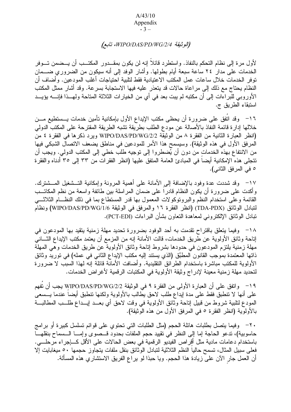$-3-$ 

# (الوثيقة WIPO/DAS/PD/WG/2/4، تابع)

لأول مرة إلى نظام التحكم بالنفاذ. واستطرد قائلاً إنه لن يكون بمقــدور المكتــب أن يـــضمن تـــوفر الخدمات على مدارٍ ٢٤ ساعة سبعة أيام بطولها. وأشار الوفد إلى أنه سيكون من الضروري ضـــمان توفر الخدمات خلال ساعات عمل المكتب الاعتيادية فقط لتلبية احتياجات أغلب المودعين. وأضاف أن النظام بحناج مع ذلك إلى مر اعاة حالات قد بتعذر عليه فيها الاستجابة بسر عة. وقد أشار ممثل المكتب الأوروبي للبراءات إلى أن مكتبه لم يبت بعد في أي من الخيارات الثلاثة المتاحة ولمهــذا فإنـــــه يؤيـــد استبقاء الطربق ج.

١٦− وقد اتفق على ضرورة أن يحظى مكتب الإيداع الأول بإمكانية تأمين خدمات يـــستطيع مـــن خلالها إدار ة قائمة النفاذ بالأصالة عن مودع الطلب بطريقة تشبه الطريقة المقترحة على المكتب الدولي (انظر العبارة الثانية من الفقرة ٨ من الوثيقة WIPO/DAS/PD/WG/2/2 ويرد ذكرها في الفقرة ٤ من المرفق الأول في هذه الوثيقة). وسيسمح هذا الأمر للمودعين في مناطق يضعف الاتصال الشبكي فيها من الانتفاع بهذه الخدمات من دون أن يُضطروا إلى توجيه طلب خطي إلى المكتب الدولي. ويجب أن نتجلى هذه الإمكانية أيضاً في المبادئ العامة المتفق عليها (انظر الفقرآت من ٣٣ إلى ٣٥ أدناه والفقرة 0 في المرفق الثاني).

١٧– وقد شددت عدة وفود بالإضافة إلىي الأمانة على أهمية المرونة وإمكانية التـــشغيل المـــشترك. وأكدت على ضرورة أن يكون النظام قادرا على ضمان المراسلة بين طائفة واسعة من نظم المكاتـــب القائمة وعلى استخدام النظم والبرونوكولات المعمول بها قدر المستطاع بما في ذلك النظــام الثلاثـــي لتبادل الوثائق (TDA-PDX) (انظر الفقرة ١٦ والمرفق في الوثيقة WIPO/DAS/PD/WG/1/6) ونظام تبادل الوثائق الإلكتروني لمعاهدة النعاون بشأن البراءات (PCT-EDI).

١٨− وفيما يتعلق باقتراح تقدمت به أحد الوفود بضرورة تحديد مهلة زمنية يتقيد بها المودعون في إناحة وثائق الأولوية عن طّريق الخدمات، قالت الأمانة إنه من المزمع أن يعتمد مكتب الإيداع الثـــانـيّ مهلة زمنية يلتزم المودعون في حدودها بشروط إناحة وثائق الأولوية عن طريق الخدمات وهي المهلة ذاتها المعتمدة بموجب القانون المطبَّق (الذي يستند إليه مكتب الإيداع الثانبي في عمله) في توريد وثائق الأولوية للمكتب مباشرة باستخدام الطرائق التقليدية. وأضافت الأمانَّة قائلةً إنه لمهذا السبب لا ضرورة لتحديد مهلة زمنية معينة لإدراج وثيقة الأولوية في المكتبات الرقمية لأغراض الخدمات.

١٩ - وانفق على أن العبارة الأولى من الفقرة ٩ في الوثيقة WIPO/DAS/PD/WG/2/2 يجب أن تفهم على أنها لا نتطبق فقط على مدة إيداع طلب لاحق يطالب بالأولوية ولكنها نتطبق أيضا عندما يـــسعى المودع لتلبية شروط من قبيل إناحة وثائق الأولوية في وقت لاحق أي بعــد إيـــداع طلـــب المطالبـــة بالأولوية (انظر الفقرة ٥ في المرفق الأول من هذه الوثيقة).

٢٠ - وفيما يتصل بطلبات هائلة الحجم (مثل الطلبات التي تحتوي على قوائم تسلسل كبيرة أو برامج حاسوبية)، ندعو الحاجة إما إلى النظر في نقييد حجم الملفات بحدود قـــصوى وإمـــا الـــسماح بنقلهـــا باستخدام دعامات مادية مثل أقراص الفيديو الرقمية في بعض الحالات على الأقل كــــإجراء مرحلــــي. فعلى سبيل المثال، تسمح حاليا النظم الثلاثية لتبادل الوثائق بنقل ملفات يتجاوز حجمها ٥٠ ميغابايت إلا أن العمل جار الآن على زيادة هذا الحجم. ويا حبذا لو يراع الفريق الاستشاري هذه المسألة.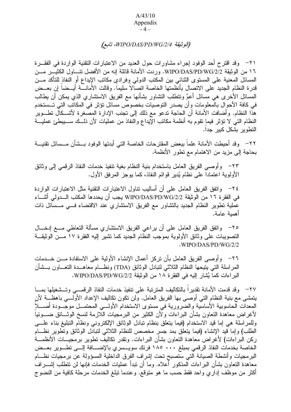## (الوثيقة WIPO/DAS/PD/WG/2/4، تابع)

٢١– وقد اقترح أحد الوفود إجراء مشاورات حول العديد من الاعتبارات التقنية الواردة في الفقـــرة ١٦ من الوثيقة WIPO/DAS/PD/WG/2/2، وردت الأمانة قائلة إنه من الأفضل تتـــاول الكثيـــر مـــن المسائل المعنية على المستوى الثنائي بين المكتب الدولي وفرادي مكانب الإيداع أو النفاذ للتأكد مـــن قدر ة النظام الجديد على الاتصال بأنظِّمتها الخاصة اتصالاً سليماً. وقالت الأمانـــة أيــضـاً إن بعــض المسائل الأخرى هي مسائل أعمَّ وتتطلب التشاور بشأنها مع الفريق الاستشاري الذي يمكن أن يطالب في كافة الأحوال بالمعلومات وأن يصدر التوصيات بخصوص مسائل تؤثر في المكاتب التي تــستخدم هذا النظام. وأضافت الأمانة أن الحاجة ندعو مع ذلك إلى نجنب الإدارة المصغرة لأشــكال نطـــوير النظام التي لا تؤثِّر فيما نقوم به أنظمة مكانب الإيداع والنفاذ من عمليات لأن ذلــك ســـــيبطئ عمليـــة التطوير بشكل كبير جدا.

٢٢– وقد أحيطت الأمانة علماً ببعض المقترحات الخاصة التي أبدتها الوفود بـــشأن مـــسائل تقنيـــة بحاجة إلى مزيد من الاهتمام مع تطور الأنظمة.

٢٣– وأوصمي الفريق العامل باستخدام بنية النظام بغية نتفيذ خدمات النفاذ الرقمي إلى وثائق الأولوية اعتماداً على نظام يُدير قوائم النفاذ، كما يوجز المرفق الأول.

٢٤− وانفق الفريق العامل على أن أساليب نناول الاعتبارات النقنية مثل الاعتبارات الواردة في الفقر ة ١٦ من الوثيقة WIPO/DAS/PD/WG/2/2 يجب أن يحددها المكتب الـــدولي أثنــــاء عملية نطوير النظام الجديد بالتشاور مع الفريق الاستشاري عند الاقتضاء فسي مـــسائل ذات أهمية عامة.

٢٥– وانفق الفريق العامل على أن يراعي الفريق الاستشاري مسألة النعاطي مـــع إدخـــال التصويبات على وثائق الأولوية بموجب النظام الجديد كما نشير إليه الفقرة ١٧ مـــن الوثيقـــة  $.WIPO/DAS/PD/WG/2/2$ 

٢٦– وأوصبي الفريق العامل بأن نركز أعمال الإنشاء الأولية على الاستفادة مـــن خـــدمات المراسلة التي يتيحها النظام الثلاثي لتبادل الوثائق (TDA) ونظـــام معاهـــدة التعـــاون بـــشأن البراءات كما يُشار إليه في الفقرة ١٨ من الوثيقة WIPO/DAS/PD/WG/2/2.

٢٧– وقد قدمت الأمانة تقديراً بالتكاليف المنزنبة على نتفيذ خدمات النفاذ الرقمـــي وتـــشغيلها بمـــا يتمشى مع بنية النظام النبي أوصبي بها الفريق العامل. ولن نكون نكاليف الإعداد الأولـــي باهظـــة لأنِ المعدات الحاسوبية الأساسية والضرورية في مستوى الاستخدام الأولـــي المحتمـــل موجـــودة أصـــــلإ لأغراض معاهدة النعاون بشأن البراءات ولأن الكثير من البرمجيات اللازمة لنسخ الوثـــائق ضــــوئيا وللمراسلة هي إما قيد الاستخدام (فيما يتعلق بنظام تبادل الوثائق الإلكتروني ونظام التبليغ بناء علسى الطلب) وإما قيد الإنشاء (فيما يتعلَّق بمد جسر مخصص للنظام الثلاثي لتبادل الوثائق وتطوير نظـــام ركن البراءات) لأغراض معاهدة النعاون بشأن البراءات. ونقدر نكاليف نطوير برمجيـــات الأنظمـــة الخاصة بخدمات النفاذ الرقمي بمبلغ ١٠٠ ١٨٥ فرنك سويـــسري بالإضــــافة إلـــي تطـــوير بعـــض البرمجيات وأنشطة الصيانة التي ستصبح تحت إشراف الفرق الداخلية المسؤولة عن برمجيات نظـــام معاهدة النعاون بشأن البراءات المذكور أعلاه. وما أن نبدأ عمليات الخدمات فإنها لن نتطلب إشــــراف أكثر من موظف إداري واحد فقط حسب ما هو متوقع. وعندما تبلغ الخدمات مرحلة كافية من النضوج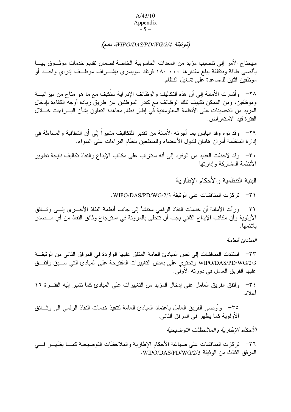#### A/43/10 Appendix  $-5 -$

# < *WIPO/DAS/PD/WG/2/4*

سيحتاج الأمر إلى تنصيب مزيد من المعدات الحاسوبية الخاصة لضمان تقديم خدمات موثـــوق بهـــا بأقصـي طـاقة وبتكلفة يبلـغ مقدار ها ١٨٠ . ١٨٠ فرنك سويسري بإشــــراف موظـــف إدراي واحـــد أو موظفين اثنين للمساعدة على تشغيل النظام.

٢٨– وأشارت الأمانة إلى أن هذه النكاليف والوظائف الإدراية ستُكيف مع ما هو متاح من ميزانيـــة وموظفين، ومن الممكن تكييف نلك الوظائف مع كادر الموظفين عن طريق زيادة أوجه الكفاءة بإدخال المزيد من التحسينات على الأنظمة المعلومانية في إطار نظام معاهدة التعاون بشأن البــــراءات خـــــلال الفتر ة قيد الاستعر اض.

٢٩ – وقد نوه وفد اليابان بما أجرته الأمانة من تقدير للتكاليف مشيرا إلىي أن الشفافية والمساءلة في إدارة المنظمة أمران هامان للدول الأعضاء وللمنتفعين بنظام البراءات على السواء.

٣٠ وقد لاحظت العديد من الوفود إلى أنه ستترتب على مكاتب الإيداع والنفاذ تكاليف نتيجة تطوير الأنظمة المشاركة وإدارتها.

البنية التنظمية والأحكام الإطارية

٣١ - تركزت المناقشات على الوثيقة WIPO/DAS/PD/WG/2/3.

٣٢– ور أت الأمانـة أن خدمات النفاذ الرقمـى ستتشأ إلـى جانب أنظمـة النفاذ الأخــــرى إلــــى وثــــائق الأولوية وأن مكانب الإيداع الثانـي يـجب أن نتحلـي بالمرونـة فـي استرجاع وثائق النفاذ من أي مـــصدر بلائمها.

المبادئ العامة

٣٣ – استندت المناقشات إلى نص المبادئ العامة المتفق عليها الواردة في المرفق الثاني من الوثيقـــة WIPO/DAS/PD/WG/2/3 وتحتوي على بعض التغييرات المقترحة على المبادئ التي ســـبق واتفـــق عليها الفريق العامل في دورته الأولى.

٣٤ - واتفق الفريق العامل على إدخال المزيد من النغييرات على المبادئ كما تشير إليه الفقـــرة ١٦ أعلاه.

٣٥ – وأوصـي الفريق العامل باعتماد المبادئ العامة لنتفيذ خدمات النفاذ الرقمـي إلـي وثـــائق الأولوية كما يظهر في المرفق الثاني.

الأحكام الإطارية والملاحظات القوضيحية

٣٦– تركزت المناقشات على صباغة الأحكام الإطارية والملاحظات التوضيحية كمـــا يظهـــر فـــي المر فق الثالث من الو ثبقة WIPO/DAS/PD/WG/2/3.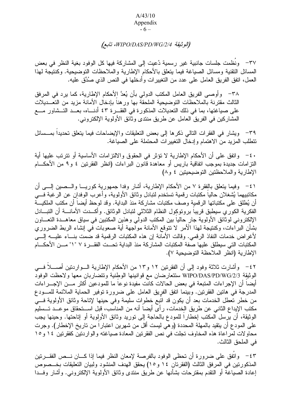## $-6-$

# (الوثيقة WIPO/DAS/PD/WG/2/4، تابع)

٣٧– ونُظمت جلسات جانبية غير رسمية دُعيت إلى المشاركة فيها كل الوفود بغية النظر في بعض المسائل التقنية ومسائل الصباغة فيما بتعلق بالأحكام الإطارية والملاحظات التوضيحية. وكنتيجة لهذا العمل، اتفق الفريق العامل على عدد من التغيير ات وأدخلها في النص الذي صدِّق عليه.

٣٨ - وأوصبي الفريق العامل المكتب الدولي بأن يُعدَّ الأحكام الإطارية، كما يرد في المرفق الثالث مقترنة بالملاحظات التوضيحية الملحقة بها ورهنا بإدخال الأمانة مزيد من التعـــديلات على صياغتها، بما في ذلك التعديلات المذكورة في الفقـــرة ٤٣ أدنــــاه، بعـــد التـــشاور مــــع المشاركين في الفريق العامل عن طريق منتدى وثائق الأولوية الإلكتروني.

٣٩– ويشار في الفقرات التالي ذكرها إلى بعض التعليقات والإيضاحات فيما يتعلق تحديداً بمــسائل تتطلب المزبد من الاهتمام وإدخال التغبير ات المحتملة على الصباغة.

· ٤- واتفق على أن الأحكام الإطارية لا نؤثر في الحقوق والالتزامات الأساسية أو نترتب عليها أية النزامات جديدة بموجب انفاقية باريس أو معاهدة قانون البراءات (انظر الفقرنين ٤ و ٩ من الأحكـــام الإطارية والملاحظتين التوضيحيتين ٤ و٨)

٤١- وفيما يتعلق بالفقرة ٧ من الأحكام الإطارية، أشار وفدا جمهورية كوريـــا والـــصين الِــــي أن مكانتبيهما يُشغلان حالياً مكتبات رقمية تستخدم لنتبادل وثائق الأولوية، وأعرب الوفدان عن الرغبة فـــي أن يُطلق على مكتباتها الرقمية وصف مكتبات مشاركة منذ البداية. وقد لوحظ أيضاً أن مكتب الملكيـــة الفكرية الكوري سيطبق فريباً بروتوكول النظام الثلاثي لتبادل الوثائق. وأكـــدت الأمانــــة أن التبـــادل الإلكتروني لوثائق الأولوية جار حاليا بين المكتب الدولي وهذين المكتبين في سياق معاهــدة التعـــاون بشأن البراءات، وكنتيجة لهذا الأمر لا نتوقع الأمانة مواجهة أية صعوبات في إنشاء الربط الضروري لأغراض خدمات النفاذ الرقمي. وقالت الأمانة إن هذه المكتبات الرقمية قد ضمت بنساء عليسه إلسي المكتبات التي سيطلق عليها صفة المكتبات المشاركة منذ البداية تحــت الفقـــرة ٧ "١" مـــن الأحكــــام الإطارية (انظر الملاحظة التوضيحية ٧).

٤٢– وأشارت ثلاثة وفود إلى أن الفقرنين ١٢ و١٣ من الأحكام الإطارية الــواردنين أصـــلاً فـــي الوثيقة WIPO/DAS/PD/WG/2/3 ستتعارضان مع قوانينها الوطنية وتتضاربان معها ولاحظت الوفود أيضا أن الإجراءات المتبعة في بعض الحالات كانت مفيدة نوعا ما للمودعين أكثر مـــن الإجــــراءات المدرجة في هاتين الفقرتين. وبينما انفق الفريق العامل على ضرورة توفير الحماية الملائمة للمـــودع من خطر نعطل الخدمات بعد أن يكون قد انبع خطوات سليمة وفي حينها لإناحة وثائق الأولوية فسي مكتب الإيداع الثاني عن طريق الخدمات، رأى أيضاً أنه من المناسب، قبل اســـتحقاق موعـــد تـــسليم الوثيقة، أن يُرسل المكتب إخطاراً للمودع بالحاجة إلى توريد وثائق الأولوية أو إتاحتها. وحينها يجب على المودع أن يتقيد بالمهلة المحددة (و هي ليست أقل من شهرين اعتباراً من تاريخ الإخطار). وجرت محاولات لمر اعاة هذه المخاوف تجلت في نص الفقرتين المعادة صباغته والواردتين كفقرتين ١٤ و١٥ في الملحق الثالث.

٤٣ - واتفق على ضرورة أن تحظى الوفود بالفرصة لإمعان النظر فيما إذا كـــان نـــص الفقـــرتين المذكورتين في المرفق الثالث (الفقرتان ١٤ و١٥) يحقق الهدف المنشود ولبيان التعليقات بخــصوص إعادة الصياغة أو النقدم بمقترحات بشأنها عن طريق منتدى وثائق الأولوية الإلكترونـي. وأشار وفـــدا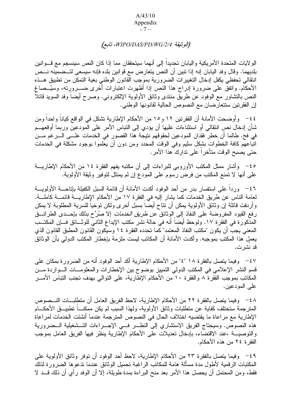#### $-7-$

# (الوثيقة WIPO/DAS/PD/WG/2/4، تابع)

الولايات المتحدة الأمريكية واليابان تحديداً إلى أنهما سيتحققان مما إذا كان النص سينسجم مع قـــوانين بلديهما. وقال وفد اليابان إنه إذا نبين أن النص يتعارض مع قوانين بلده فإنه سيسعى لتـــضمينه نـــص انتقالي تحفظي يكفل إدخال التغييرات الضرورية بموجب القانون الوطني بغية التمكن من تطبيق هــذه الأحكام. واتفق على ضرورة إدراج هذا النص إذا أظهرت اعتبارات أخرى ضـــرورته، وسيُــصاغ النص بالتشاور مع الوفود عن طريق منتدى وثائق الأولوية الإلكترونـي. وصـر ح أيضـاً وفد السويد قائلاً إن الفقر تين ستتعار ضان مع النصوص الحالية لقانونها الوطني.

٤٤ - وأوضحت الأمانة أن الفقرنين ١٢ و١٥ من الأحكام الإطارية تشكل في الواقع كيانا واحدا ومن شأن إدخال نص انتقالـي أو استثناءات عليها أن يؤدي إلـي النباس الأمر علـي المودعين وربما أوقعهــم في فخ. طالما أن خطر فقدان المودعين لحقوقهم نتيجة هذا القصور في الخدمات علـــي الـــرغم مـــن اتباعهم كافة الخطوات بشكِّل سليم وفي الوقت المحدد ومن دون أن يعلموا بوجود مشكلة في الخدمات حتى يصبح الوقت متأخر ا على ندارك هذا الأمر .

0 £− وأشار ممثل المكتب الأوروبي للبراءات إلى أن مكتبه يفهم الفقرة ١٤ من الأحكام الإطاريـــة على أنها لا تمنع المكتب من فرض رسوم على المودع إن لم يمتثل لتوفير وثيقة الأولوية.

٤٦ - ورداً على استفسار بدر من أحد الوفود أكدت الأمانة أن قائمة السبل الكفيلة بإتاحــــة الأولويــــة لعامة الناس عن طريق الخدمات كما يشار إليه في الفقرة ١٧ من الأحكام الإطاريــــة قائمــــة كاملــــة. وأردفت قائلة إن وثائق الأولوية بمكن أن نتاح أيضاً بسبل أخرى ولكن نوخياً للسرية المطلوبة لا يمكن رفع القيود المفروضة على النفاذ إلى الوثائق *عن طريق الخدمات* إلا صُرِّح بذلك بإحــدى الطرائـــق المذكور ة في الفقر ة ١٧. ولوحظ أيضا أنه في حالة نشر مكتب الإيداع الثاني للوثـــائق فــــإن المكتـــب المعنى يجب أن يكون "مكتب النفاذ المعتمد" كما تحدده الفقرة ١٤ وسيكون القانون المطبق القانون الذي يعملٍ هذا المكتب بموجبه. وأكدت الأمانة أن المكاتب ليست ملزمة بإخطار المكتب الدولي بأن الوثائق قد نشر ت.

٤٧ - وفيما يتصل بالفقرة ١٨ "٤" من الأحكام الإطارية أكد أحد الوفود أنه من الضرورة بمكان على قسم النشر الإعلامي في المكتب الدولي التمييز بوضوح بين الإخطارات والمعلومـــات الـــواردة مـــن المكانب بموجب الفقرة ٨ والفقرة ١٠ من الأحكام الإطَّارية، على النوالي بهدف تجنب النباس الأمــــر على المودعين.

٤٨ – وفيما يتصل بالفقرة ٢٢ من الأحكام الإطارية، لاحظ الفريق العامل أن متطلبـــات النـــصـوص المترجمة ستختلف كفاية عن متطلبات وثائق الأولوية، ولهذا السبب لم يكن ممكنــــاً تطبيـــق الأحكــــام الإطارية مع مراعاة ما يقتضيه اختلاف الحال في النصوص المترجمة عندما أنشئت الخدمات لمراعاة هذه النصوص. وسيحتاج الفريق الاستشاري إلى النظـــر فـــي الإجــــراءات التـــشغيلية الـــضرورية والتوصيـــة ،عند الاقتضاء، بإدخال تعديلات على الأحكام الإطارية بنظر فيها الفريق العامل بموجب الفقرة ٢٤ من هذه الأحكام.

٤٩ -- وفيما يتصل بالفقرة ٢٣ من الأحكام الإطارية، لاحظ أحد الوفود أن توفر وثائق الأولوية على المكتبات الرقمية لأطول مدة مسألة هامة للمكانب الراغبة تحميل الوثائق عندما ندعوها الضرورة لذلك فقط، ومن المحتمل أن يحصل هذا الأمر بعد منح البراءة بمدة طويلة، إلا أن الوفد رأي أن ذلك قـــد لا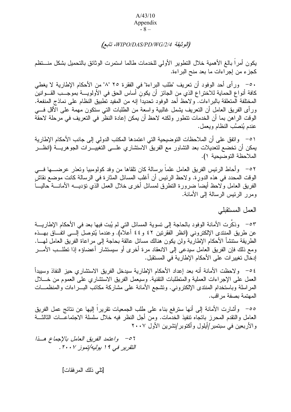## $-8-$

# (الوثيقة WIPO/DAS/PD/WG/2/4، تابع)

يكون أمراً بالغ الأهمية خلال التطوير الأولى للخدمات طالما استمرت الوثائق بالتحميل بشكل منستظم كجزء من إجراءات ما بعد منح البراءة.

٥٠ - ورأى أحد الوفود أن تعريف "طلب البراءة" في الفقرة ٢٥ "٨" من الأحكام الإطارية لا يغطي كافة أنواع الحماية للاختراع الذي من الجائز أن يكون أساس الحق في الأولويــــة بموجـــب القــــوانين المختلفة المتعلقة بالبر اءات. ولاحظ أحد الوفود تحديدا إنه من المفيد تطبيق النظام على نماذج المنفعة. ور أي الفريق العامل أن النعريف يشمل غالبية واسعة من الطلبات التي ستكون مهمة على الأقل فـــي الوقت الراهن بما أن الخدمات نتطور ولكنه لاحظ أن يمكن إعادة النظر في التعريف في مرحلة لاحقة عندم يُنصَّبِ النظام ويعمل.

٥١ – واتفق على أن الملاحظات التوضيحية التي اعتمدها المكتب الدولي إلى جانب الأحكام الإطارية يمكن أن تخضع لتعديلات بعد التشاور مع الفريق الاستشاري علـــي التغييـــرات الجوهريـــة (انظـــر الملاحظة التوضبحية ١).

٥٢ - وأحاط الرئيس الفريق العامل علماً برسالة كان نلقاها من وفد كولومبيا وتعذر عرضــــها فــــى الوقت المحدد في هذه الدورة. ولاحظ الرئيس أن أغلب المسائل المثارة في الرسالة كانت موضع نقاش الفريق العامل ولاحظ أيضاً ضرورة النطرق لمسائل أخرى خلال العمل الذي نؤديــــه الأمانــــة حاليــــاً ومرر الرئيس الرسالة إلى الأمانة.

العمل المستقبلي

٥٣ - وذكَّرت الأمانة الوفود بالحاجة إلى تسوية المسائل التي لم يُبت فيها بعد في الأحكام الإطاريــــة عن طريق المنتدى الإلكتروني (انظر الفقرتين ٤٢ و٤٤ أعلاّه). وعندما يُتوصل ْإلــــى اتفْــاق بـهـــذه الطريقة ستتشأ الأحكام الإطارية ولن يكون هنالك مسائل عالقة بحاجة إلىي مراعاة الفريق العامل لمهـــا. ومع ذلك فإن الفريق العامل سيدعى إلى الانعقاد مرة أخرى أو سيستشار أعضاؤه إذا نطلــب الأمـــر إدخال تغيير ات على الأحكام الإطارية في المستقبل.

٥٤ – ولاحظت الأمانـة أنـه بـعد إعداد الأحكام الإطـاريـة سيدخل الفريق الاستشاري حيز النفاذ وسيبدأ العمل على الإجراءات العملية والمنطلبات النقنية. وسيعمل الفريق الاستشاري على العموم من خــــلل المراسلة وباستخدام المنتدى الإلكتروني. وتشجع الأمانة على مشاركة مكاتب البـــراءات والمنظمـــات المهتمة بصفة مر اقب.

٥٥– وأشارت الأمانة إلى أنها سترفع بناء على طلب الجمعيات نقريرا إليها عن نتائج عمل الفريق العامل والنقدم المحرز بانجاه ننفيذ الخدمات. ومن أجل النظر فيه خلال سلسلة الاجتماعـــات الثالثـــة و الأر بعين في سبتمبر /أيلول و أكتوبر /تشر بن الأول ٢٠٠٧

07 - واعتمد الفريق العامل بالإجماع هــذا التقرير في ١٩ بوليه/تموز ٢٠٠٧.

[تلى ذلك المرفقات]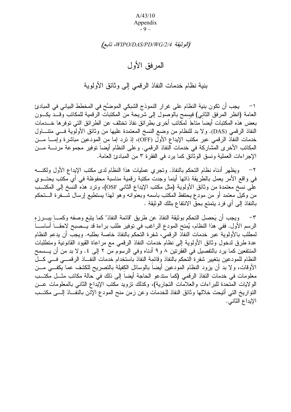A/43/10 Appendix  $-9-$ 

## < *WIPO/DAS/PD/WG/2/4*

# المرفق الأول

# بنية نظام خدمات النفاذ الرقمي إلىي وثائق الأولوية

ا – يجب أن تكون بنية النظام على غر ار النموذج الشبكي الموضَّح في المخطط البياني في المبادئ العامة (انظر المرفق الثانبي) فيسمح بالوصول إلى شريحة من المكتبات الرقمية للمكانب وقـــد يكـــون بعض هذه المكتبات أيضا متاط لمكانب أخر ى بطر ائق نفاذ تختلف عن الطر ائق التي توفر ها خـــدمات النفاذ الرقمي (DAS). ولا بد للنظام من وضع النسخ المعتمدة عليها من وثائق الأولوية فـــي متنــــاول خدمات النفاذ الرقمي عبر مكتب الإيداع الأول (OFF)، إذ نزد إما من المودعين مباشرة وإمــــا مــــن المكانب الأخرى المشاركة في خدمات النفاذ الرقمي. وعلى النظام أيضا نوفير مجموعة مرنــــة مـــن الإجراءات العملية ونسق الوثائق كما يرد في الفقرة ٣ من المبادئ العامة.

٢− ويظهر أدناه نظام النحكم بالنفاذ. وتجري عمليات هذا النظام لدى مكتب الإيداع الأول ولكنـــه فـي واقع الأمر يعمل بالطريقة ذاتـها أينما وجدت مكتبة رقمية مناسبة محفوظة فـي أي مكتب يحتـــوي علـى نسخ معتمدة من وثائق الأولوية (مثل مكتب الإيداع الثانـي OSF)، ونرد هذه النسخ إلـى المكتـــب من وكيل معتمد أو من مودع يحتفظ المكتب باسمه وبعنوانه وهو لمهذا يستطيع إرسال شـــفرة الــــتحكم بالنفاذ إلى أي فرد يتمتع بحق الانتفاع بتلك الوثيقة .

٣– ويجب أن يَحصل التحكم بوثيقة النفاذ عن طريق "قائمة النفاذ" كما يتبَع وصفه وكمــــا يبــــرزهِ الرسم الأول. ففي هذا النظام، يُمنح المودع الراغب في توفير طلب براءة قد يـــصبح لاحقـــا أساســـا لمطلب بالأولوية عبر خدمات النفاذ الرقمي، شفرة التحكم بالنفاذ خاصة بطلبه. ويجب أن يدعم النظام عدة طرق لدخول وثائق الأولوية إلى نظام خدمات النفاذ الرقمي مع مراعاة القيود القانونية ومنطلبات المنتفعين كما يرد بالتفصيل في الفقرتين ٨ و ٩ أدناه وفي الرسوم من ٢ إلى ٤. ولا بد من أن يـــسمح النظام للمودعين بتغيير شفرة النحكم بالنفاذ وقائمة النفاذ باستخدام خدمات النفـــاذ الرقمــــي فــــي كـــل الأوقات، ولا بد أن يزود النظام المودعين أيضا بالوسائل الكفيلة بالتصريح للكشف عما يكفـــي مـــن معلومات في خدمات النفاذ الرقمي (كما ستدعو الحاجة أيضا إلى ذلك في حالة مكاتب مثـــل مكتـــب الولايات المتحدة للبراءات والعلامات التجارية)، وكذلك نزويد مكتب الإيداع الثانـي بالمعلومات عـــن النواريخ التي أنيحت خلالها وثائق النفاذ للخدمات وعن زمن منح المودع الإذن بالنفــاذ اإــــي مكتـــب الإيداع الثاني.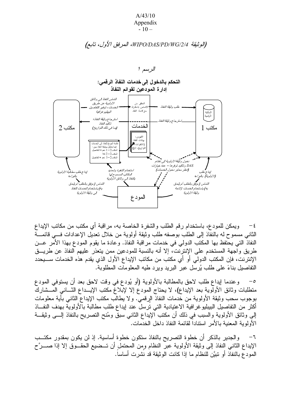#### $A/43/10$ Appendix  $-10-$

# (الوثيقة WIPO/DAS/PD/WG/2/4، المرفق الأول، تابع)



٤—— ويمكن للمودع، باستخدام رقم الطلب والشفرة الخاصة به، مراقبة أي مكتب من مكانب الإيداع الثاني مسموح له بالنفاذ إلى الطلب بوصفه طلب وثيقة أولوية من خلال تعديل الإعدادات فسي فائمـــة النفاذ التي يحتفظ بها المكتب الدولي في خدمات مراقبة النفاذ. وعادة ما يقوم المودع بهذا الأمر عـــن طريق واَّجهة المستخدم على الإنترنت، إلا أنه بالنسبة للمودعين ممن يتعذر عليهم النفاذ عن طريـــق الإنترنت، فإن المكتب الدولي أو أي مكتب من مكاتب الإيداع الأول الذي يقدم هذه الخدمات ســــيحدد التَّفاصُّلِل بناءً على طلب يُرسَّل عبرَ البريد ويرد طيه المعلومات المطلوبة.

وعندما إيداع طلب لاحق بالمطالبة بالأولوية (أو يُودع في وقت لاحق بعد أن يستوفي المودع  $-$ 0 متطلبات وثائق الأولوية بعد الإيداع)، لا يحتاج المودع إلا لإبلاغ مكتب الإيـــداع الثـــانـي المـــشارك بوجوب سحب وثيقة الأولوية من خدمات النفاذ الرقميّ. ولا يطالَب مكتب الإيداع الثاني بأية معلومات أكثر من التفاصيل البيبليو غرافية الاعتيادية التي نرسل عند إيداع طلب مطالبة بالأولوية بهدف النفـــاذ إلى وثائق الأولوية والسبب في ذلك أن مكتب الإيداع الثاني سبقٌ ومُنح التصريح بالنفاذ إلـــي وثيقـــة الأولوبة المعنبة بالأمر استنادا لقائمة النفاذ داخل الخدمات.

والجدير بالذكر أن خطوة التصريح بالنفاذ ستكون خطوة أساسية. إذ لن يكون بمقدور مكتــب الإيداع الثاني النفاذ إلى وثيقة الأولوية عبرَّ النظام ومن المحتمل أن تــضيع الحقــوق إلا إذا صـــرَّح المودع بالنفاذ أو نبيَّن للنظام ما إذا كانت الوثيقة قد نُشرت أساساً.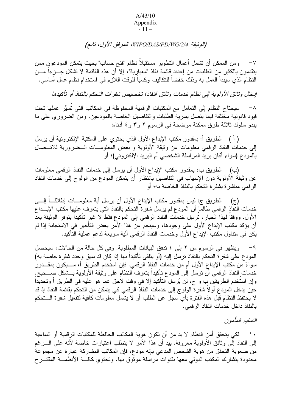#### A/43/10 Appendix - 11 –

# (الوثيقة WIPO/DAS/PD/WG/2/4*، المرفق الأول*، تابع)

V− ومن الممكن أن تشمل أعمال التطوير مستقبلا نظام "فتح حساب" بحيث يتمكن المودعون ممن ينقدمون بالكثير من الطلبات من إعداد قائمة نفاذ "معيارية"، إلا أن هذه القائمة لا تشكل جـــزءا مـــن النظام الذي سيبدأ العمل به وذلك خفضا للتكاليف وكسبا للوقت اللازم في استخدام نظام عمل أساسي.

ادِخال وثائق الأولوية إلى نظام خدمات وثائق النفاذ؛ تخصيص شفرات التحكم بالنفاذ أو تأكيدها

^− سيحتاج النظام إلى النعامل مع المكتبات الرقمية المحفوظة في المكانب التي تسيِّر عملها تحت قيود قانونية مختلفة فيما يتصل بسرية الطلبات والتفاصيل الخاصة بالمودعين. ومن الضروري على ما يبدو سلوك ثلاثة طرق ممكنة موضحة في الرسوم ٢ و٣ و ٤ أدناه:

( أ ) الطريق أ: بمقدور مكتب الإيداع الأول الذي يحتوي على المكتبة الإلكترونية أن يرسل إلى خدمات النفاذ الرقمي معلومات عن وثيقة الأولوية و بعض المعلومـــات الـــضرورية للاتـــصال بالمودع (سواء أكان بريد المراسلة الشخصـي أم البريد الإلكترونـي)؛ أو

(ب) الطريق ب: بمقدور مكتب الإيداع الأول أن يرسل إلى خدمات النفاذ الرقمي معلومات عن وثيقة الأولوية دون الإسهاب في التفاصيل بانتظار أن يتمكن المودع من الولوج إلىي خدمات النفاذ الرقمي مباشرة بشفرة التحكم بالنفاذ الخاصة به؛ أو

(ج) الطريق ج: ليس بمقدور مكتب الإيداع الأول أن يرسل أية معلومـــات إطلاقـــا إلــــي خدمات النفاذ الرقمي طالما أن المودع لم يرسل شفرة التحكم بالنفاذ التي يتعرف عليها مكتب الإيـــداع الأول. ووفقا لـهذا الـخيار ، نرسل خدمات النفاذ الرقمـي إلـي المودع فقط لا غير تأكيدا بنوفر الوثيقة بعد أن يؤكد مكتب الإيداع الأول على وجودها، وسينجم عن هذا الأمر بعض التأخير في الاستجابة إذا لم يكن في متناول مكتب الإيداع الأول وخدمات النفاذ الرقمي ألية سريعة لدعم عملية التأكيد.

٩ – ويظهر في الرسوم من ٢ إلى ٤ تدفق البيانات المطلوبة. وفي كل حالة من الحالات، سيحصل المودع على شفرة التحكم بالنفاذ نرسل إليه (أو يتلقى تأكيدا بها إذا كان قد سبق وحدد شفرة خاصة به) سواءً من مكتب الإيداع الأول أم من خدمات النفاذ الرقمي. فإن استخدم الطريق أ، ســـيكون بمقـــدور خدمات النفاذ الرقمي أن نرسل إلى المودع نأكيدا بنعرف النظام على وثيقة الأولوية بـــشكل صــــحيح. وإن استخدم الطريقين بِ و ج، لن يُرسل التأكيد إلا في وقت لاحق عما هو عليه في الطريق أ وتحديدا حين يدخل المودع أو لا شفر ة الولوج إلى خدمات النفاذ الرقمي كي يتمكن من التحكم بقائمة النفاذ إذ قد لا يحتفظ النظام قبل هذه الفترة بأي سجل عن الطلب أو لا يشمل معلومات كافية لتفعيل شفرة الــــتحكم بالنفاذ داخل خدمات النفاذ الرقمي.

التسليم المأمون

• ١− لكي يتحقق أمن النظام لا بد من أن تكون هوية المكاتب الحافظة للمكتبات الرقمية أو الساعية الِمِي النفاذ إلى وثائق الأولوية معروفة. بيد أن هذا الأمر لا يتطلب اعتبارات خاصة لأنه على الــــرغم من صعوبة التحقق من هوية الشخص المدعى بإنه مودع، فإن المكانب المشاركة عبارة عن مجموعة محدودة يتشارك المكتب الدولي معها بقنوات مراسلة موثوق بها. وتحتوي كافـــة الأنظمـــة المقتـــرح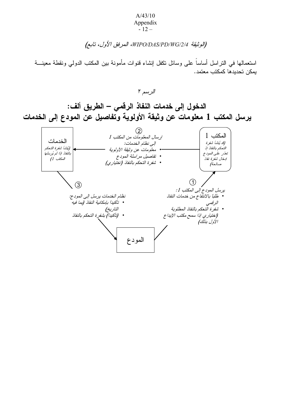#### $A/43/10$ Appendix  $-12-$

# (الوثيقة WIPO/DAS/PD/WG/2/4، المرفق الأول، تابع)

استعمالها في النر اسل أساساً على وسائل نكفل إنشاء قنوات مأمونة بين المكتب الدولمي ونقطة معينــــة يمكن تحديدها كمكتب معتمد.

الرسم ٢

الدخول إلى خدمات النفاذ الرقمي – الطريق ألف: يرسل المكتب 1 معلومات عن وثيقة الأولوية وتفاصيل عن المودع إلى الخدمات 2)<br>ارسال المعلومات من المكتب 1 المكتب 1 الخدمات (قد يُنشأ شقر ة الِي نظام الخدمات: التَحكم بالنفاذ إذ (يَنشأ شفرة التحكم معلومات عن وثيقة الأولوية ر .<br>بالنفاذ اذا لم يُرسلها تعذر علٰی المود ع<br>ادِخال شفرۃ نفاذ • تفاصيل مراسلة المودع  $(1 - L)$ لمكتب • شفرة التحكم بالنفاذ (اختياري) صالحة)  $\bigcirc$  $\mathcal{L}(\mathcal{S})$ برسل المودع إلى المكتب 1: نظام الخدمات برسل إلى المودع: • طلباً بالانتفاع من خدمات النفاذ • تأكيداً بإمكانية النفاذ (بما فيه الر قمہ • شفرة التحكم بالنفاذ المطلوبة التاريخ) • (تأكيداً) شفرة التحكم بالنفاذ (اختياري اذا سمح مكتب الإيداع) الأول بذلكم المودع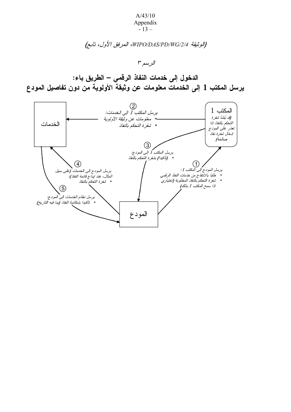#### $A/43/10$ Appendix  $-13-$

(الوثيقة WIPO/DAS/PD/WG/2/4، المرفق الأول، تابع)

الرسم۳

الدخول إلى خدمات النفاذ الرقمي – الطريق باء: يرسل المكتب 1 إلى الخدمات معلومات عن وثيقة الأولوية من دون تفاصيل المودع

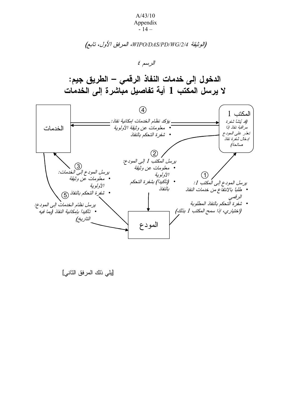#### $A/43/10$ Appendix  $-14-$

(الوثيقة WIPO/DAS/PD/WG/2/4، المرفق الأول، تابع)

الرسم ٤

الدخول إلى خدمات النفاذ الرقمي – الطريق جيم: لا يرسل المكتب 1 أية تفاصيل مباشرة إلى الخدمات



[يلي ذلك المرفق الثاني]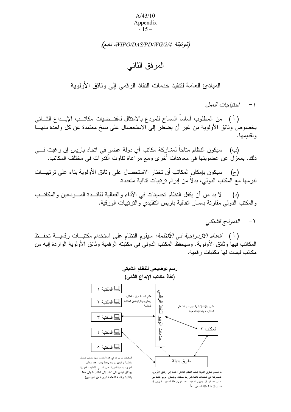#### $A/43/10$ Appendix  $-15-$

## (الوثيقة WIPO/DAS/PD/WG/2/4، تابع)

# المر فق الثاني

المبادئ العامة لتتفيذ خدمات النفاذ الر قمي إلى وثائق الأولوية

( – /حتباحات العمل

( أ ) من المطلوب أساسا السماح للمودع بالامتثال لمقتــضيات مكاتــب الإيــداع الثـــانـي بخصوص وثائق الأولوية من غير أن يضطر إلى الاستحصال على نسخ معتمدة عن كل واحدة منهـــا و تقديمها.

(ب) سيكون النظام متاحاً لمشاركة مكاتب أي دولة عضو في اتحاد باريس إن رغبت فـــي ذلك، بمعزل عن عضويتها في معاهدات أخرى ومع مراعاة تفاوت الَّقدرات في مختلف المكاتب.

(ج) سيكون بإمكان المكاتب أن تختار الاستحصال على وثائق الأولوية بناء على نرتيبات تبرمها مع المكتب الدولي، بدلاً من إبرام ترتيبات ثنائية متعددة.

(د) لا بد من أن يكفل النظام تحسينات في الأداء والفعالية لفائـــدة المـــودعين والمكاتـــب والمكتب الدولي مقارنة بمسار انفاقية باريس التقليدي والنزنيبات الورقية.

٢- النموذج الشبكي

( أ ) /انعد*ام الازدواجية في الأنظمة:* سيقوم النظام على استخدام مكتبــات رقميـــة تحفــظ المكانب فيها وثائق الأولوية. وسيحفظ المكتب الدولمي في مكتبته الرقمية وثائق الأولوية الواردة إليه من مكانب ليست لها مكتبات رقمية.



قد تسمح الطرق البنيلة (منها النظام الثلاثي) النفاذ إلى وثائق الأولوية المحفوظة في المكتبات ذاتها بشروط مختلفة. وبإمكان الويبو النفاذ من خلال خدماتها إلى بعض المكتبات عن طريق هذا المعابر. إذ يجب أن نكون الأنظمة قابلة للتشغيل مطً.

المكتبات موجودة في عدة أماكن، منها مكاتب تحفظ وثائقها، والبعض ربما يحفظ وثائق عدة مكاتب أخرى، ومكتبة لدى المكتب الدولمي (للطلبات الدولية ووثانق البلدان التي تطلب إلى المكتب الدولي حفظ وثانقها، والنسخ المعتمدة الواردة من المودعين).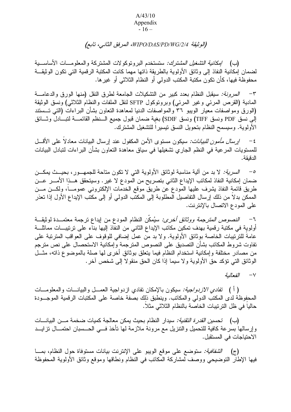#### A/43/10 Appendix  $-16-$

# (الوثيقة WIPO/DAS/PD/WG/2/4، المرفق الثاني، تابع)

(ب) *إمكانية التشغيل المشترك:* ستستخدم البرونوكولات المشتركة والمعلومـــات الأساســـية لضمان إمكانية النفاذ إلى وثائق الأولوية بالطريقة ذاتها مهما كانت المكتبة الرقمية التى تكون الوثيقـــة محفوظة فيها، كأن تكون مكتبة المكتب الدولمي أو النظام الثلاثـي أو غيرِها.

 % 5  - &  M(" 2 \* + -6  المادية (القرص المرئي وغير المرئي) وبروتوكول SFTP لنقل الملفات والنظام الثلاثي) ونسق الوثيقة (الورق ومواصفات معيار الويبو ٣٦ والمواصفات الدنيا لمعاهدة التعاون بشأن البراءات (التبي تـــستند إلى نسق PDF ونسق TIFF) ونسق SDIF) بغية ضمان قبول جميع السنظم القائمسة لنبسادل وثسائق الأولوية. وسيسمح النظام بتحويل النسق نيسيرا للتشغيل المشترك.

٤ – *إرسال مأمون للبيانات:* سيكون مستوى الأمن المكفول عند إرسال البيانات معادلا على الأقـــل للمستويات المرعية في النظم الجاري تشغيلها في سياق معاهدة التعاون بشأن البراءات لتبادل البيانات الدقيقة.

2 F , 5 , " 2" < 
" 6 ` 2 < ضمان إمكانية النفاذ لمكانب الإيداع الثاني بتصريح من المودع لا غير . وسيتحقق هـــذا الأمــــر عـــن طريق قائمة النفاذ يشرف عليها المودع عن طريق موقع الخدمات الإلكترونـي عمومـــا، ولكـــن مـــن الممكن بدلا من ذلك إرسال التفاصيل المطلوبة إلى المكتب الدولي أو إلى مكتب الإيداع الأول إذا تعذر على المودع الاتصال بالإنترنت.

 - 9 " " @ 2 @ \* + 2aK6 AB' ) .- أولوية في مكتبة رقمية بهدف تمكين مكاتب الإيداع الثاني من النفاذ إليها بناء على ترتيبـــات مماثلــــة عامة للترتيبات الخاصة بوثائق الأولوية. ولا بد من عمل إضافي للوقوف على العواقب المترتبة على نفاوت شروط المكانب بشأن النصديق على النصوص المنرجمة وإمكانية الاستحصال على نص منرجم من مصادر مختلفة وإمكانية استخدام النظام فيما يتعلق بوثائقٍ أخرى لمها صلة بالموضوع ذاته، مثـــل الوثائق التي تؤكد حق الأولوية و لا سيما إذا كان الحق منقو لاً إلى شخص آخر .

٧ - الفعالية

( أ ) ت*فادي الازدواجية:* سيكون بالإمكان نفادي لزدواجية العمـــل والببيانــــات والمعلومــــات المحفوظة لدى المكتب الدولـى والمكاتب. وينطبق ذلك بصفة خاصة علـى المكتبات الرقمية الموجـــودة حاليا في ظل النرنيبات الخاصة بالنظام الثلاثي مثلا.

(ب) ت*حسين القدر ة التقنية:* سيدار النظام بحيث يمكن معالجة كميات ضخمة مـــن البيانــــات وإرسالها بسرعة كافية للتحميل والنتزيل مع مرونة ملازمة لها تأخذ فسى الحـــسبان احتمـــال نزايـــد الاحتياجات في المستقبل.

(ج) *الشفافية:* ستوضع على موقع الويبو على الإنترنت بيانات مستوفاة حول النظام، بمـــا فيها الإطار التوضيحي ووصف لمشاركة المكاتب في النظام ونطاقها وموقع وثائق الأولوية المحفوظة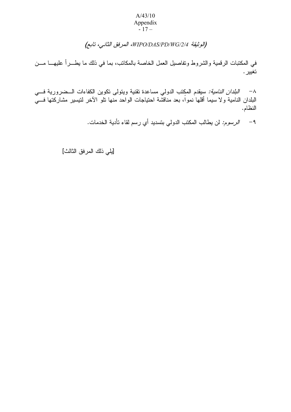#### $A/43/10$ Appendix  $-17-$

# (الوثيقة WIPO/DAS/PD/WG/2/4، المرفق الثاني، تابع)

في المكتبات الرقمية والشروط وتفاصيل العمل الخاصة بالمكانب، بما في ذلك ما يطـــرأ عليهــــا مــــن تغيير .

*النبلدان النامية:* سيقدم المكتب الدولي مساعدة تقنية ويتولى تكوين الكفاءات الـــضرورية فـــي  $-\lambda$ البلدان النامية ولا سيما أقلها نمواً، بعد مناقشة احتياجات الواحد منها نلو الأخر لنيسير مشاركتها فـــي النظام.

> الرسوم: لن يطالب المكتب الدولي بتسديد أي رسم لقاء تأدية الخدمات.  $-9$

[يلي ذلك المرفق الثالث]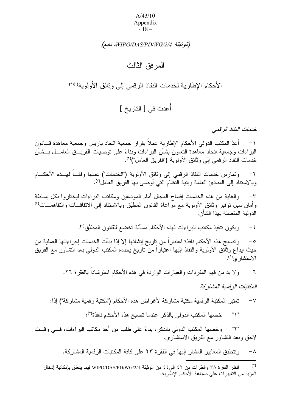#### A/43/10 Appendix  $-18-$

## < *WIPO/DAS/PD/WG/2/4*

# المر فق الثالث

الأحكام الإطارية لخدمات النفاذ الرقمي إلى وثائق الأولوية'')ا"

أُعدت في [ الناريخ ]

خدمات النفاذ الرقمي

١− أعدَّ المكتب الدولي الأحكام الإطارية عملا بقرار جمعية اتحاد باريس وجمعية معاهدة قـــانون البراءات وجمعية اتحاد معاهدة النعاون بشأن البراءات وبناءً على نوصيات الفريـــق العامـــل بـــشأن خدمات النفاذ الرقمي إلى وثائق الأولوية ("الفريق العامل")<sup>(٢)</sup>.

٢– وتمارس خدمات النفاذ الرقمي إلى وثائق الأولوية ("الخدمات") عملها وفقــاً لمهــذه الأحكـــام وبالاستناد إلى الممبادئ العامة وبنية النظام التـي أوصـي بـها الفريق الـعامل''').

٣– والغاية من هذه الخدمات إفساح المجال أمام المودعين ومكانب البراءات ليختاروا بكل بساطة وأمان سبل نوفير وثائق الأولوية مع مراعاة القانون المطبَّق وبالاستناد إلىي الانفاقـــات والتفاهمـــات<sup>(؛)</sup> الدولية المتصلة بهذا الشأن.

٤ − ويكون نتفيذ مكانب البر اءات لمهذه الأحكام مسألة تخضع للقانون المطبَّق<sup>(٥</sup>).

0− وتصبح هذه الأحكام نافذة اعتبارًا من تاريخ إنشائها إلا إذا بدأت الخدمات إجراءاتها العملية من حيث إيداع وثائق الأولوية والنفاذ إليها اعتبارًا من ناريخ يحدده المكتب الدولمي بعد التشاور مع الفريق الاستشار و،<sup>(٦)</sup>.

> بد من فهم المفردات والعبارات الواردة فـي هذه الأحكام استرشادا بالفقرة ٢٦.  $-7$

> > المكتبات الر قمبة المشاركة

بر المكتبة الرقمية مكتبة مشاركة لأغراض هذه الأحكام ("مكتبة رقمية مشاركة") إذا:  $-<sup>V</sup>$ 

9. \* , /A = !" % 
 1" 5!

"٢" وخصها المكتب الدولي بالذكر ، بناءً على طلب من أحد مكانب البراءات، فـــي وقـــت لاحق وبعد النشاور مع الفريق الاستشاري.

^– وتتطبق المعايير المشار إليها في الفقرة ٢٣ على كافة المكتبات الرقمية المشاركة.

 $\overline{a}$ 

ا " انظر الفقرة ٣٨ والفقرات من ٤٢ إلى2٤ من الوثيقة WIPO/DAS/PD/WG/2/4 فيما يتعلق بإمكانية إدخال المزيد من التغيير ات على صياغة الأحكام الإطارية.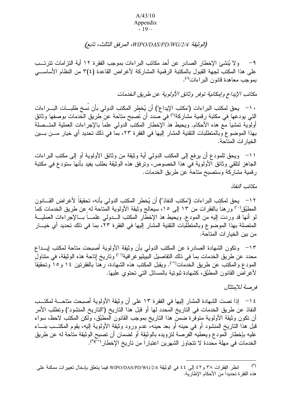#### A/43/10 Appendix - 19 –

## (الوثيقة WIPO/DAS/PD/WG/2/4، المرفق الثالث، تابع)

٩− ولا يُنشئ الإخطار الصـادر عن أحد مكانب البراءات بموجب الفقرة ١٢ أية التزامات نترتـــب على هذا المكتب لجهة القبول بالمكتبة الرقمية المشاركة لأغراض القاعدة (٢(٤ من النظام الأساســــى بموجب معاهدة قانون البراءات'').

مكاتب الإيداع وإمكانية توفر وثائق الأولوية عن طريق الخدمات

• ١− يحق لمكتب البراءات ("مكتب الإيداع") أن يُخطِر المكتب الدولي بأن نسخ طلبـــات البـــراءات التي يودعها في مكتبة رقمية مشاركة<sup>(٩)</sup> في صدد أن تصبح متاحة عن طريق الخدمات بوصفها وثائق أولوية تمشيا مع هذه الأحكام. ويحيط هذ الإخطار المكتب الدولي علما بالإجراءات العملية المتـــصلة بهذا الموضوع وبالمتطلبات التقنية المشار إليها في الفقرة ٢٣، بما في ذلك تحديد أي خيار مـــن بــــين الخبار ات المتاحة.

١١– ويحق للمودع أن يرفع إلى المكتب الدولي أية وثيقة من وثائق الأولوية أو إلى مكتب البراءات الجاهز لنلقي وثائق الأولوية في هذا الخصوص، وترفق هذه الوثيقة بطلب يفيد بأنها ستودع في مكتبة رقمية مشاركة وستصبح متاحة عن طريق الخدمات.

مكاتب النفاذ

1 ا – يحق لمكتِب البر اءات ("مكتب النفاذ") أن يُخطر المكتب الدولي بأنه، تحقيقا لأغر اض القـــانون المطبَّق''') ور هنا بالفقرات من ١٣ إلى ١٥، سيعالج وثيقة الأولوية المتاحة له عن طريق الخدمات كما لو أنها قد وردت إليه من المودع. ويحيط هذ الإخطار المكتب الـــدولي علمــــا بــــالإجراءات العمليـــة المتصلة بهذا الموضوع وبالمتطلبات التقنية المشار إليها في الفقرة ٢٣، بما في ذلك تحديد أي خيـــار من بين الخيار ات المتاحة.

١٣– وتكون الشهادة الصادرة عن المكتب الدولمي بأن وثيقة الأولوية أصبحت متاحة لمكتب إيـــداع محدد عن طريق الخدمات بما في ذلك التفاصيل البيبليو غر افية'<sup>\' )</sup> وتاريخ إتاحة هذه الوثيقة، في متناولِ المودع والمكتب عن طريق الخدمات'''). ويقبل المكتب هذه الشهادة، رهنا بالفقرتين ١٤ و١٥ وتحقيقا لأغر اض القانون المطبَّق، كشهادة ثبوتية بالمسائل التـي تحتوي عليها.

فر صة للإمتثال

1 \ – إذا نصت الشهادة المشار إليها في الفقر ة ١٣ على أن وثيقة الأولوية أصبحت متاحــــة لمكتـــب النفاذ عن طريق الخدمات في التاريخ المحدد لها أو قبل هذا التاريخ ("التاريخ المنشود") وتطلب الأمر أن تكون وثيقة الأولوية متوفرة ضمن هذا الناريخ بموجب القانون المطبَّق، ولكن المكتب لاحظ، سواء قبل هذا التاريخ المنشود أو فـي حينـه أو بـعد حينـه، عدم ورود وثيقة الأولويـة إليـه، يقوم المكتـــب بنــــاء عليه بإخطار المودع ويعطيه الفرصة لتزويده بالوثيقة أو لضمان أن تصبح الوثيقة متاحة له عن طريق الخدمات في مهلة محددة لا تتجاوز الشهرين اعتبار ا من تاريخ الإخطار (١٠٣°).

 $\overline{a}$ 

انظر الفِقرات ٣٨ و ٤٢ إلى ٤٤ في الوثيقة WIPO/DAS/PD/WG/2/4 فيما يتعلق بإدخال تغييرات ممكنة على " هذه الفقر ة تحديدا من الأحكام الإطارية.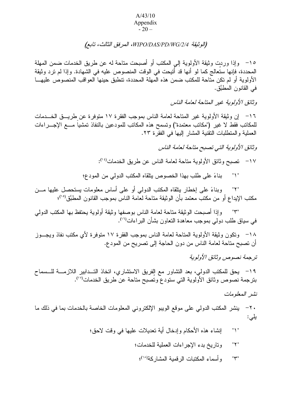#### A/43/10 Appendix  $-20-$

## (الوثيقة WIPO/DAS/PD/WG/2/4، المرفق الثالث، تابع)

10 – وإذا وردتٍ وثيقة الأولوية إلى المكتب أو أصبحت متاحة له عن طريق الخدمات ضمن المهلة المحددة، فإنها ستعالج كما لو أنها قد أُتيحت في الوقت المنصوص عليه في الشهادة. وإذا لم ترد وثيقة الأولوية أو لم تكن متاحة للمكتب ضمن هذه المهلة المحددة، تنطبق حينها العواقب المنصوص عليهـــا في القانون المطبَّق.

وثائق الأولوبية غير المتاحة لعامة الناس

١٦– إن وثيقة الأولوية غير المتاحة لعامة الناس بموجب الفقرة ١٧ متوفرة عن طريـــق الخــــدمات للمكانب فقط لا غير ("مكانب معتمدة") ونسمح هذه المكانب للمودعين بالنفاذ نمشيا مـــع الإجـــراءات العملية والمنطلبات النقنية المشار إليها في الفقرة ٢٣.

وثائق الأولوية التي تصبح متاحة لعامة الناس

١٧– نصبح وثائق الأولوية متاحة لعامة الناس عن طريق الخدمات<sup>(٣١</sup>):

بناءً على طلب بهذا الخصوص يتلقاه المكتب الدولي من المودع؛  $^{\prime\prime}$   $^{\prime\prime}$ 

"٢" وبناءً على إخطار يتلقاه المكتب الدولي أو على أساس معلومات بستحصل عليها مـــن مكتب الإيداع أو من مكتب معتمد بأن الوثيقة متاحة لعامة الناس بموجب القانون المطبَّق<sup>(°۰)</sup>؛

"٣" وإذا أصبحت الوثيقة متاحة لعامة الناس بوصفها وثيقة أولوية يحتفظ بها المكتب الدولمي في سياق طلب دولمي بموجب معاهدة النعاون بشأن البراءات<sup>(١٦)</sup>.

١٨– ونكون وثيقة الأولوية المتاحة لعامة الناس بموجب الفقرة ١٧ متوفرة لأي مكتب نفاذ ويجـــوز أن نصبح مناحة لعامة الناس من دون الحاجة إلى نصريح من المودع.

ترجمة نصوص وثائق الأولوية

19 – يحق للمكتب الدولي، بعد التشاور مع الفريق الاستشاري، اتخاذ التـــدابير اللازمــــة للـــسماح بترجمة نصوص وثائق الأولوية التي ستودع وتصبح متاحة عن طريق الخدمات'''.

نشد المعلومات

+7 ينشر المكتب الدولي على موقع الويبو الإلكتروني المعلومات الخاصة بالخدمات بما في ذلك ما يلى:

- "١" إنشاء هذه الأحكام وإدخال أية تعديلات عليها فـي وقت لاحق؛
	- "٢" وتاريخ بدء الإجراءات العملية للخدمات؛
		- "٣" وأسماء المكتبات الرقمية المشاركة<sup>(١٨)</sup>؛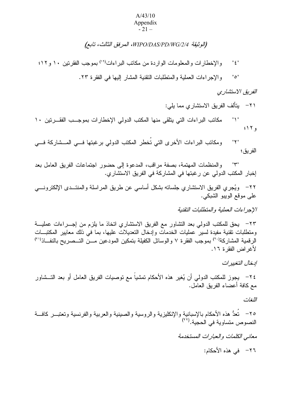#### A/43/10 Appendix  $-21-$

# (الوثيقة WIPO/DAS/PD/WG/2/4، المرفق الثالث، تابع)

"٤" والإخطارات والمعلومات الواردة من مكانب البراءات<sup>(١٩)</sup> بموجب الفقرنين ١٠ و ١٢؛

"٥" والإجراءات العملية والمنطلبات النقنية المشار إليها في الفقرة ٢٣.

الفريق الاستشاري

٢١– يتألف الفريق الاستشاري مما يلي:

" ١" مكانب البر اءات التي يتلقى منها المكتب الدولى الإخطار ات بموجــب الفقـــرنين ١٠  $5179$ 

"٢" ومكاتب البراءات الأخرى التي تخطر المكتب الدولي برغبتها فـــي المـــشاركة فـــي الفريق؛

"٣" والمنظمات المهتمة، بصفة مراقب، المدعوة إلى حضور اجتماعات الفريق العامل بعد إخبار المكتب الدولي عن ر غبتها في المشاركة في الفريق الاستشاري.

٢٢– ويُجري الفريق الاستشاري جلسانه بشكل أساسي عن طريق المراسلة والمنتـــدى الإلكترونــــي على موقع الويبو الشبكي.

الإجراءات العملية والمتطلبات التقنية

٢٣– يحق للمكتب الدولي بعد التشاور مع الفريق الاستشاري اتخاذ ما يلزم من إجـــراءات عمليـــة ومتطلبات نقنية مفيدة لسير عمليات الخدمات وإدخال التعديلات عليها، بما في ذلك معايير المكتبـــات الرقمية المشاركة<sup>(٦٠)</sup> بموجب الفقرة ٧ والوسائل الكفيلة بتمكين المودعين مـــن التـــصـريح بالنفــــاذ<sup>(٢١</sup>) لأغر اض الفقر ة ١٦.

ادخال التغييرات

٢٤ – يجوز للمكتب الدولي أن يُغير هذه الأحكام تمشيا مع توصيات الفريق العامل أو بعد التـــشاور مع كافة أعضاء الفريق العامل.

اللغات

٢٥ – نعدُّ هذه الأحكام بالإسبانية والإنكليزية والروسية والصينية والعربية والفرنسية وتعتبـــر كافـــة النصوص متساوية في الحجية.<sup>(٢٢</sup>)

 " "% 
 \* , /A 
.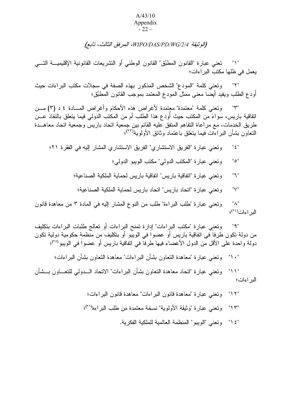#### A/43/10 Appendix  $-22-$

# (الوثيقة WIPO/DAS/PD/WG/2/4، المرفق الثالث، تابع)

"\" تعني عبار ة "القانون المطبَّق" القانون الوطني أو التشريعات القانونية الإقليميــــة التــــي يعمل في ظلها مكتب البراءات؛

"٢" وتعني كلمة "المودع" الشخص المذكور بهذه الصفة في سجلات مكتب البراءات حيث أودع الطلب ويفيد أيضـا معنـى ممثل المودع المعتمد بموجب القانون المطبَّق؛

ونعني كلمة "معتمدة" معتمدة لأغراض هذه الأحكام وأغراض المسادة ٤ د (٣) مـــن اتفاقية باريس، سواءً من المكتب حيث أودع هذا الطلب أم من المكتب الدولي فيما يتعلق بالنفاذ عـــن طريق الخدمات، مع مر اعاة النفاهم المتفق عليه القائم بين جمعية اتحاد وجمعية اتحاد معاهـــدة النعاون بشأن البراءات فيما يتعلق باعتماد وثائق الأولوية<sup>(٢٠)</sup>؛

"٤" وتعني عبارة "الفريق الاستشاري" الفريق الاستشاري المشار إليه في الفقرة ٢١؛

- "0" وتعني عبارة "المكتب الدولي" مكتب الويبو الدولي؛
- "٦" وتعني عبار ة "اتفاقية باريس" اتفاقية باريس لحماية الملكية الصناعية؛
- "V" وتعني عبار ة "اتحاد باريس" اتحاد باريس لحماية الملكية الصناعية؛

"٨" وتعني عبارة "طلب البراءة" طلب من النوع المشار إليه في المادة ٣ من معاهدة قانون البر اءات<sup>(٢٤)</sup>؛

"٩" وتعني عبارة "مكتب البراءات" إدارة تمنح البراءات أو تعالج طلبات البراءات بتكليف من دولة تكون طرفا في اتفاقية باريس أو عضوا في الويبو أو بتكليف من منظمة حكومية دولية تكون دولة واحدة على الأقل من الدول الأعضاء فيها طرفا في اتفاقية باريس أو عضوا في الويبو<sup>(٢٥</sup>)؛

". ١" وتعني عبارة "معاهدة النعاون بشأن البر اءات" معاهدة النعاون بشأن البر اءات؛

"\ \" وتعني عبارة "اتحاد معاهدة النعاون بشأن البراءات" الاتحاد الـــدولي للنعـــاون بـــشأن البر اءات؛

> "١٢" وتعني عبارة "معاهدة قانون البراءات" معاهدة قانون البراءات؛ "١٣" وتعني عبارة "وثيقة الأولوية" نسخة معتمدة من طلب البراءة'<sup>'٢٩</sup>)؛ "١٤" وتعني "الويبو" المنظمة العالمية للملكية الفكرية.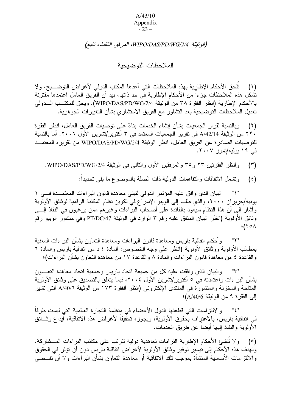#### A/43/10 Appendix - 23 –

#### (الوثيقة WIPO/DAS/PD/WG/2/4، المرفق الثالث، تابع)

الملاحظات التو ضبحبة

(١) تلحق الأحكام الإطارِية بهذه الملاحظات التي أعدها المكتب الدولي لأغراض التوضـــيح، ولا تشكل هذه الملاحظات جزءا من الأحكام الإطارية في حد ذاتها، بيد أن الفريق العامل اعتمدها مقترنة بالأحكام الإطارية (انظر الفقرة ٣٨ من الوثيقة WIPO/DAS/PD/WG/2/4). ويحق للمكتــب الـــدولمي تعديل الملاحظات النوضيحية بعد التشاور مع الفريق الاستشاري بشأن التغييرات الجوهرية.

بالنسبة لقرار الجمعيات بشأن إنشاء الخدمات بناءً على توصيات الفريق العامل، انظر الفقرة  $(\Upsilon)$ ٢٢٠ من الوثيقة A/42/14 في تقرير الجمعيات المعتمد في ٣ أكتوبر /تشرين الأول ٢٠٠٦. أما بالنسبة للنوصيات الصادرة عن الفريق العامل، انظر الوثيقة WIPO/DAS/PD/WG/2/4 من تقريره المعتمــد فی ۱۹ یولیه/تموز ۲۰۰۷.

- (٣) وانظر الفقرتين ٢٣ و ٣٥ والمرفقين الأول والثانبي في الوثيقة WIPO/DAS/PD/WG/2/4.
	- (٤) وتشمل الاتفاقات والتفاهمات الدولية ذات الصلة بالموضوع ما يلي تحديدا:

"١" النبيان الذي وافق عليه المؤتمر الدولي لتبني معاهدة قانون البراءات المعتمــدة فـــي ١ يونيه/حزير ان ٢٠٠٠، والذي طلب إلى الويبو الإسراع في تكوين نظام المكتبة الرقمية لوثائق الأولوية وأشار إلى أن هذا النظام سيعود بالفائدة على أصحاب البراءات وغيرهم ممن يرغبون في النفاذ إلــــى وثائق الأولوية (انظر البيان المنفق عليه رقم ٣ الوارد في الوثيقة PT/DC/47 وفي منشور الويبو رقم  $\frac{1}{2}$  (  $\sqrt{2}$  )

"٢" وأحكام انفاقية باريس ومعاهدة قانون البراءات ومعاهدة النعاون بشأن البراءات المعنية بمطالب الأولوية ووثائق الأولوية (انظر على وجه الخصوص: المادة ٤ د من انفاقية باريس والمادة ٦ والقاعدة ٤ من معاهدة قانون البر اءات والمادة ٨ والقاعدة ١٧ من معاهدة التعاون بشأن البر اءات)؛

"٣" والبيان الذي وافقت عليه كل من جميعة انحاد باريس وجمعية انحاد معاهدة النعــــاون بشأن البراءات واعتمدته في ٥ أكتوبر/تشرين الأول ٢٠٠٤، فيما يتعلق بالتصديق على وثائق الأولوية المتاحة والمخزنة والمنشورة في المنتدى الإلكتروني (انظر الفقرة ١٧٣ من الوثيقة A/40/7 التـي تشير الي الفقر ة ٩ من الوثيقة A/40/6)؛

"٤" والالتزامات التي قطعتها الدول الأعضاء في منظمة التجارة العالمية التي ليست طرفا فـي انفاقية باريس، بالاعترِاف بـحقوق الأولوية، ويـجوز، تـحقيقا لأغراض هذه الاتفاقية، إيداع وثـــائق الأَولوية والنفاذ الِيها أيضاً عن طريق الخدمات.

(٥) ولا نتشئ الأحكام الإطارية النزامات نعاهدية دولية نترنب على مكانب البراءات المـــشاركة. وتهدف هذه الأحكام إلى نيسير نوفير وثائق الأولوية لأغراض انفاقية باريس دون أن نؤثر في الحقوق والالتزامات الأساسية المنشأة بموجب نلك الانفاقية أو معاهدة النعاون بشأن البراءات ولا أن نفــضـي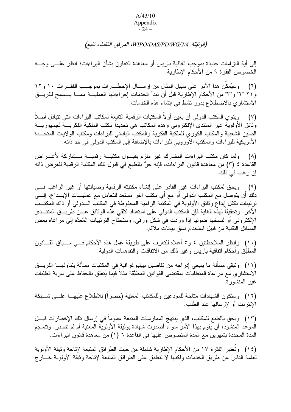#### A/43/10 Appendix - 24 –

## (الوثيقة WIPO/DAS/PD/WG/2/4، المرفق الثالث، تابع)

إلى أية النزامات جديدة بموجب انفاقية باريس أو معاهدة النعاون بشأن البراءات؛ انظر علــــى وجــــه الخصوص الفقرة ٩ من الأحكام الإطارية.

(٦) وسيُمكن هذا الأمر على سبيل المثال من إرســـال الإخطـــارات بموجـــب الفقـــرات ١٠ و ١٢ و ٢١ "٢" و"٣" من الأحكام الإطارية قبل أن نبدأ الخدمات إجراءاتها العمليـــة ممـــا يـــسمح للفريـــق الاستشاري بالاضطلاع بدور نشط في إنشاء هذه الخدمات.

(٧) وينوي المكتب الدولمي أن يعين أو لا المكتبات الرقمية التابعة لمكاتب البر اءات التي نتبادل أصلا وثائق الأولوية عبر المنتدى الإلكتروني وهذه المكانب هي نحديدا مكتب الملكية الفكريــــة لجمهوريــــة الصين الشعبية والمكتب الكوري للملكية الفكرية والمكتب اليابانى للبراءات ومكتب الولايات المتحـــدة الأمريكية للبراءات والمكتب الأوروبي للبراءات بالإضافة إلى المكتب الدولي في حد ذاته.

(٨) ولما كان مكتب البراءات المشارك غير ملزم بقبـــول مكتبـــة رقميـــة مـــشاركة لأغــــراض القاعدة ٤ (٣) من معاهدة قانون البراءات، فإنه حرُّ بالطبع في قبول تلك المكتبة الرقمية للغرض ذاته إن رغب في ذلك.

(٩) ويحق لمكتب البراءات غير القادر على إنشاء مكتبته الرقمية وصيانتها أو غير الراغب فـــي ذلك أن يتوصل مع المكتب الدولي أو مع أي مكتب آخر مستعد للتعامل مع عمليـــات الإيـــداع، إلــــي ترتيبات تكفل إيداع وثائق الأولوية في المكتبة الرقمية المحفوظة في المكتب الـــدولي أو ذاك المكتـــب الآخر . وتحقيقاً لهذه الغاية فإن المكتب الدولي على استعداد لتلقى هذه الوثائق عـــن طريـــق المنتـــدى الإلكتروني أو لنسخها ضوئيا إذا وردت في شكل ورقي. وستحتاج الترتيبات المُعدَّة إلىي مراعاة بعض المسائل التقنية من قبيل استخدام نسق بيانات ملائم.

(١٠) وانظر الملاحظتين ٤ و ٥ أعلاه للنعرف على طريقة عمل هذه الأحكام فـــي ســـياق القـــانون المطبَّق وأحكام انفاقية باريس وغير ذلك من الاتفاقات والنفاهمات الدولية.

(١١) ونتقى مسألة ما ينبغي إدراجه من تفاصيل بيبليوغرافية في المكتبات مسألة يتناولهـــا الفريـــق الاستشار ي مع مر اعاة المتطلبات بمقتضىي القوانين المطبَّقة مثلا فيما يتعلق بالحفاظ على سرية الطلبات غبر المنشورة.

(١٢) وستكون الشهادات متاحة للمودعين وللمكاتب المعنية (حصرا) للاطلاع عليهـــا علــــى شــــبكة الإنترنت أو لإرسالها عند الطلب.

(١٣) ويحق بالطبع للمكتب، الذي ينتهج الممارسات المتبعة عموما في إرسال تلك الإخطار ات قبـــل الموعد المنشود، أن يقوم بهذا الأمر سواء أصدرت شهادة بوثيقة الأولوية المعنية أم لم تصدر . وتتسجم المدة المحددة بشهرين مع المدة المنصوص عليها في القاعدة ٦ (١) من معاهدة قانون البر اءات.

(١٤) وتعتبر الفقرة ١٧ من الأحكام الإطارية شاملة من حيث الطرائق المتبعة لإتاحة وثيقة الأولوية لعامة الناس عن طريق الخدمات ولكنها لا نتطبق على الطرائق المتبعة لإتاحة وثيقة الأولوية خـــار ج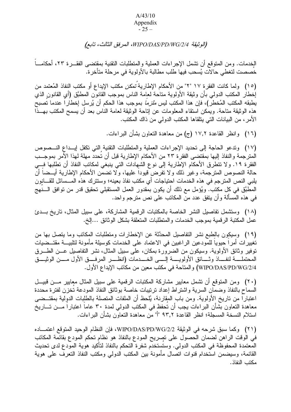#### $A/43/10$ Appendix  $-25-$

## (الوثيقة WIPO/DAS/PD/WG/2/4، المرفق الثالث، تابع)

الخدمات. ومِن المتوقع أن تشمل الإجراءات العملية والمتطلبات التقنية بمقتضبي الفقـــرة ٢٣، أحكامـــاً خصصت لتغطي حالات يُسحب فيها طلب مطالبة بالأولوبة في مر حلة متأخر ة.

(١٥) ولما كانت الفقرة ١٧ "٢" من الأحكام الإطارية َت*مكن* مكتب الإيداع أو مكتب النفاذ المُعتمد من إخطار المكتب الدولمي بأن وثيقة الأولوية متآحة لعامة الناس بموجب القانوّن المطبَّق (أي القانون الذي يطبقه المكتب المُخطر)، فإن هذا المكتب ليس *ملزما* بموجب هذا الحكم أن يُرسل إخطارا عندما تصبح هذه الوثيقة متاحة. ويمكن استقاء المعلومات عن إتاحة الوثيقة لعامة الناس بعد أن يسمح المكتب بهــذا الأمر ، من البيانات التي يتلقاها المكتب الدولي من ذاك المكتب.

(١٦) وانظر القاعدة ١٧,٢ (ج) من معاهدة التعاون بشأن البراءات.

(١٧) وتدعو الحاجة إلى نحديد الإجراءات العملية والمتطلبات التقنية التي نكفل إيـداع النــصوص المترجمة والنفاذ إليها بمقتضى الفقرة ٢٣ من الأحكام الإطارية قبل أن تحدد مهلة لهذا الأمر بموجــب الفقرة ١٩. ولا تتطرق الأحكام الإطارية إلى نوع الشهادات التي ينبغي لمكاتب النفاذ أن تطلبها فـــي حالة النصوص المترجمة، وغير ذلك ولا تفرض قيوداً عليها، ولا نضمَّن الأحكام الإطارية أيــضـاً أنَّ يلبي النص المترجم في هذه الخدمات احتياجات أي مكتب نفاذ بعينه؛ وستترك هذه المــسائل للقـــانون المطبَّق في كل مكتب. ويُؤمل مع ذلك أن يكون بمقدور العمل المستقبلي تحقيق قدر من توافق الــــنهج في هذه المسألة وأن يتفق عدد من المكانب على نص مترجم واحد.

(١٨) وستشمل تفاصيل النشر الخاصة بالمكتبات الرفمية المشاركة، على سبيل المثال، تاريخ بــدئ عمل المكتبة الرقمية بموجب الخدمات والمتطلبات المتعلقة بشكل الوثائق ...إلخ.

(١٩) وسيكون بالطبع نشر التفاصيل المحدَّثة عن الإخطارات ومتطلبات المكاتب وما يتصل بها من تغييرات أمرا حيويا للمودعين الراغبين في الاعتماد على الخدمات كوسيلة مأمونة لتلبيــــة مقتـــضيات توفير وثائق الأولوية. وسيكون من الضرورة بمكان، على سبيل المثال، نشر التفاصيل عـــن الطــــرق المحتملــــة لنفـــــاذ وثـــــائق الأولويـــــة الِـــــى الخـــــدمات (انظــــــر المرفـــــق الأول مـــــن الوثيــــق WIPO/DAS/PD/WG/2/4) والمناحة في مكتب معين من مكاتب الإيداع الأول.

(٢٠) ومن المتوقع أن تشمل معايير مشاركة المكتبات الرقمية على سبيل المثال معايير مـــن قبيـــل السماح بالنفاذ وضمان السرية واشتراط إعداد ترتيبات خاصة بوثائق النفاذ المودعة تخزن لفترة محددة اعتباراً من ناريخ الأولوية. ومن باب المقارنة، يُلحظ أن الملفات المتصلة بالطلبات الدولية بمقتــضـي معاهدة النعاون بشأن البراءات يجب أن تحفظ في المكتب الدولي لمدة ٣٠ عاما اعتبارا مـــن تـــاريخ استلام النسخة المسجلة؛ انظر القاعدة ٩٣,٢ "أ" من معاهدة التعاوِّن بشأن البر اءات.

(٢١) وكما سبق شرحه في الوثيقة WIPO/DAS/PD/WG/2/2، فإن النظام الوحيد المتوقع اعتمـــاده في الوقت الراهن لضمان الحصول على نصريح المودع بالنفاذ هو نظام نحكم المودع بقائمة المكانب المعتمدة المحفوظة في المكتب الدولي. وستُستخدم شفرة التحكم بالنفاذ لتأكيد هوية المودع لدى تحديث القائمة، وسيضمن استخدام قنوات اتصال مأمونة بين المكتب الدولي ومكتب النفاذ النعرف على هوية مكتب النفاذ.